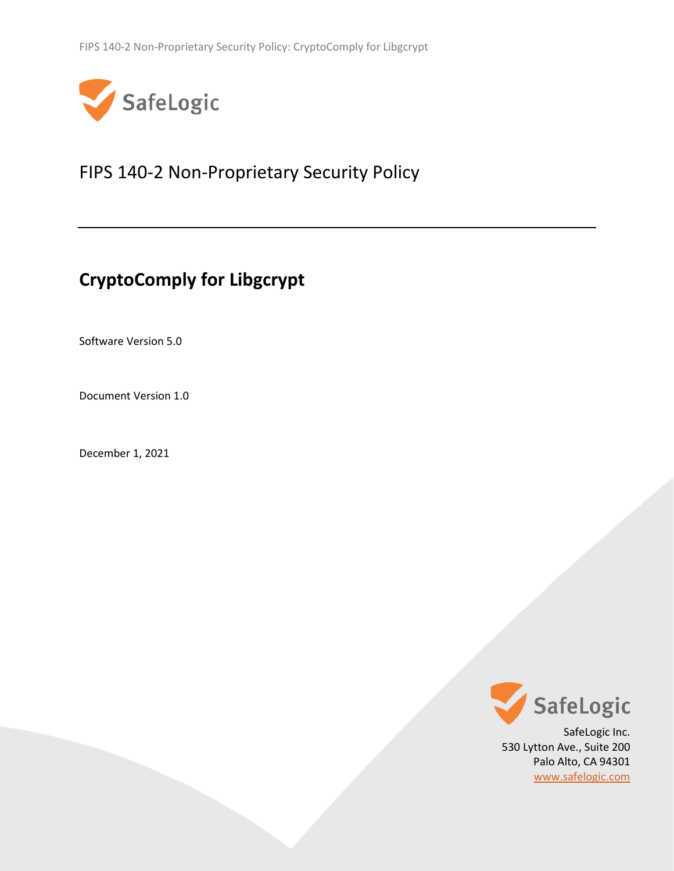

# <span id="page-0-2"></span>FIPS 140-2 Non-Proprietary Security Policy

# **CryptoComply for Libgcrypt**

<span id="page-0-1"></span>Software Version 5.0

<span id="page-0-0"></span>Document Version 1.0

December 1, 2021



530 Lytton Ave., Suite 200 Palo Alto, CA 94301 [www.safelogic.com](http://www.safelogic.com/)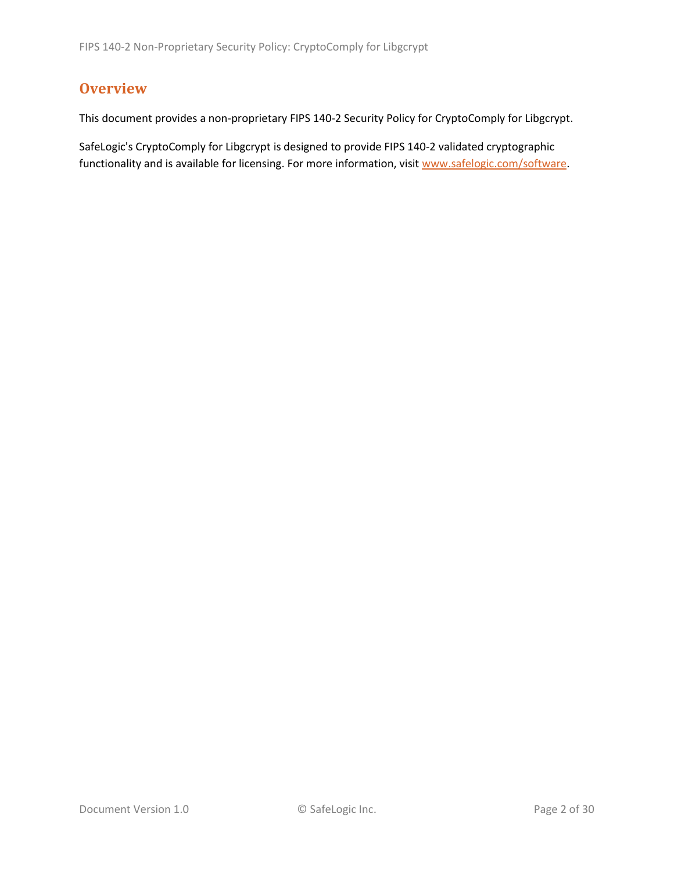# <span id="page-1-0"></span>**Overview**

This document provides a non-proprietary FIPS 140-2 Security Policy for CryptoComply for Libgcrypt.

SafeLogic's CryptoComply for Libgcrypt is designed to provide FIPS 140-2 validated cryptographic functionality and is available for licensing. For more information, visit [www.safelogic.com/software.](http://www.safelogic.com/software)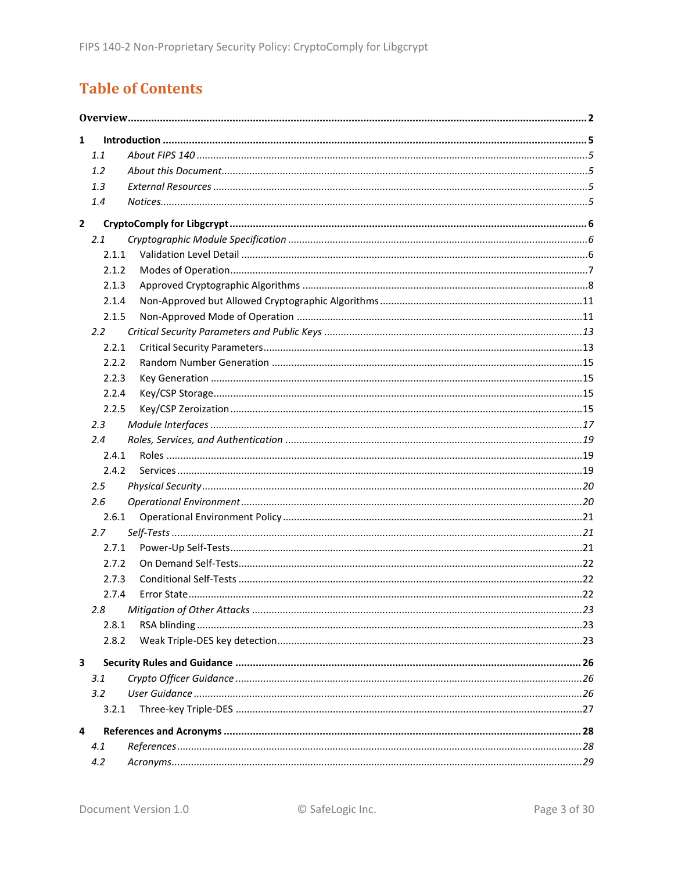# **Table of Contents**

| $\mathbf{1}$   |       |  |  |  |  |  |
|----------------|-------|--|--|--|--|--|
|                | 1.1   |  |  |  |  |  |
|                | 1.2   |  |  |  |  |  |
|                | 1.3   |  |  |  |  |  |
|                | 1.4   |  |  |  |  |  |
| $\overline{2}$ |       |  |  |  |  |  |
|                | 2.1   |  |  |  |  |  |
|                | 2.1.1 |  |  |  |  |  |
|                | 2.1.2 |  |  |  |  |  |
|                | 2.1.3 |  |  |  |  |  |
|                | 2.1.4 |  |  |  |  |  |
|                | 2.1.5 |  |  |  |  |  |
|                | 2.2   |  |  |  |  |  |
|                | 2.2.1 |  |  |  |  |  |
|                | 2.2.2 |  |  |  |  |  |
|                | 2.2.3 |  |  |  |  |  |
|                | 2.2.4 |  |  |  |  |  |
|                | 2.2.5 |  |  |  |  |  |
|                | 2.3   |  |  |  |  |  |
|                | 2.4   |  |  |  |  |  |
|                | 2.4.1 |  |  |  |  |  |
|                | 2.4.2 |  |  |  |  |  |
|                | 2.5   |  |  |  |  |  |
|                | 2.6   |  |  |  |  |  |
|                | 2.6.1 |  |  |  |  |  |
|                | 2.7   |  |  |  |  |  |
|                | 2.7.1 |  |  |  |  |  |
|                | 2.7.2 |  |  |  |  |  |
|                | 2.7.3 |  |  |  |  |  |
|                | 2.7.4 |  |  |  |  |  |
|                | 2.8   |  |  |  |  |  |
|                | 2.8.1 |  |  |  |  |  |
|                | 2.8.2 |  |  |  |  |  |
| 3              |       |  |  |  |  |  |
|                | 3.1   |  |  |  |  |  |
|                | 3.2   |  |  |  |  |  |
|                | 3.2.1 |  |  |  |  |  |
| 4              |       |  |  |  |  |  |
|                | 4.1   |  |  |  |  |  |
|                | 4.2   |  |  |  |  |  |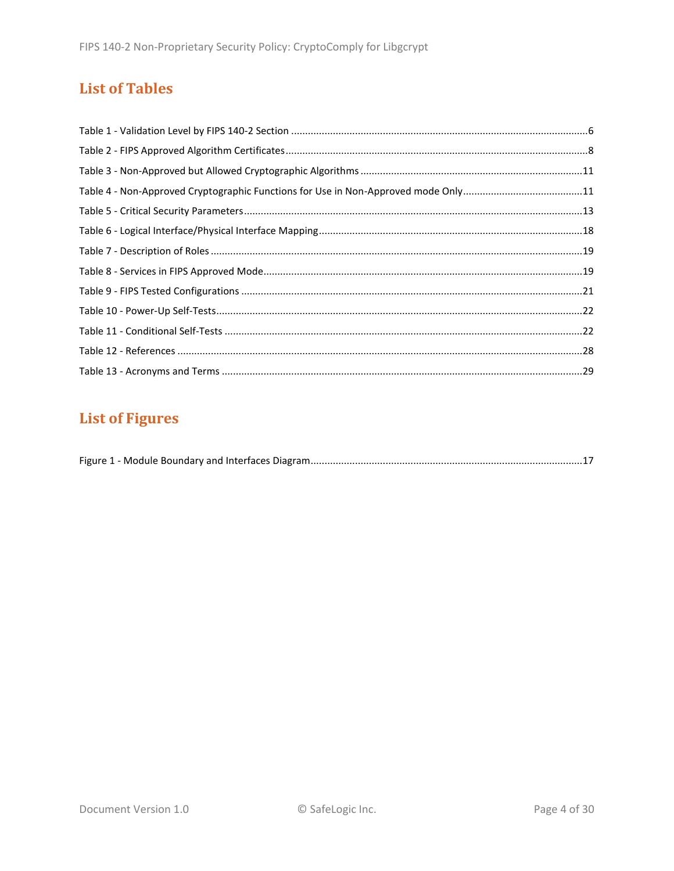# **List of Tables**

# **List of Figures**

|--|--|--|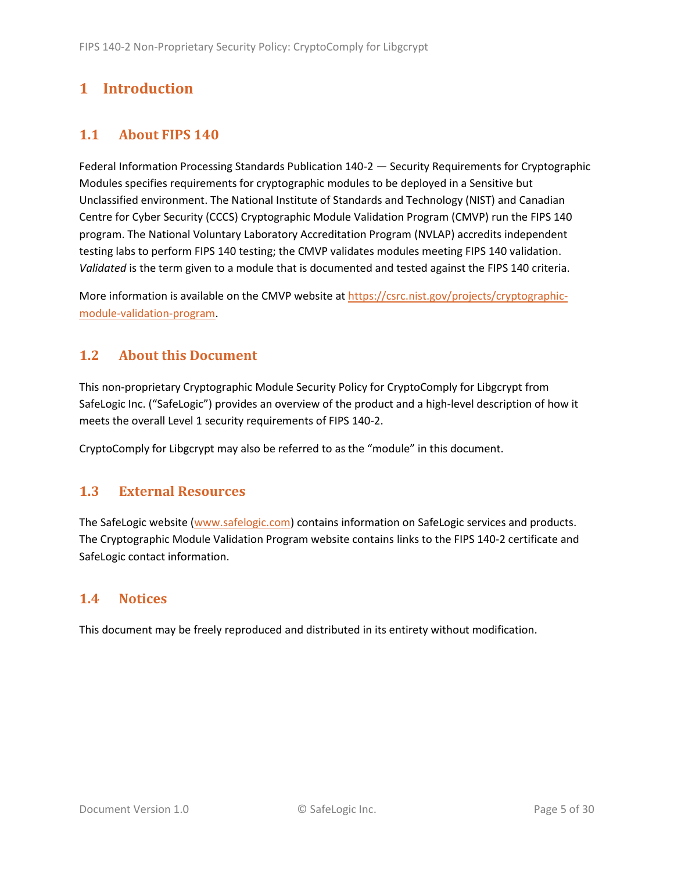# <span id="page-4-0"></span>**1 Introduction**

## <span id="page-4-1"></span>**1.1 About FIPS 140**

Federal Information Processing Standards Publication 140-2 — Security Requirements for Cryptographic Modules specifies requirements for cryptographic modules to be deployed in a Sensitive but Unclassified environment. The National Institute of Standards and Technology (NIST) and Canadian Centre for Cyber Security (CCCS) Cryptographic Module Validation Program (CMVP) run the FIPS 140 program. The National Voluntary Laboratory Accreditation Program (NVLAP) accredits independent testing labs to perform FIPS 140 testing; the CMVP validates modules meeting FIPS 140 validation. *Validated* is the term given to a module that is documented and tested against the FIPS 140 criteria.

More information is available on the CMVP website at [https://csrc.nist.gov/projects/cryptographic](https://csrc.nist.gov/projects/cryptographic-module-validation-program)[module-validation-program.](https://csrc.nist.gov/projects/cryptographic-module-validation-program)

## <span id="page-4-2"></span>**1.2 About this Document**

This non-proprietary Cryptographic Module Security Policy for CryptoComply for Libgcrypt from SafeLogic Inc. ("SafeLogic") provides an overview of the product and a high-level description of how it meets the overall Level 1 security requirements of FIPS 140-2.

CryptoComply for Libgcrypt may also be referred to as the "module" in this document.

### <span id="page-4-3"></span>**1.3 External Resources**

The SafeLogic website [\(www.safelogic.com\)](http://www.safelogic.com/) contains information on SafeLogic services and products. The Cryptographic Module Validation Program website contains links to the FIPS 140-2 certificate and SafeLogic contact information.

## <span id="page-4-4"></span>**1.4 Notices**

This document may be freely reproduced and distributed in its entirety without modification.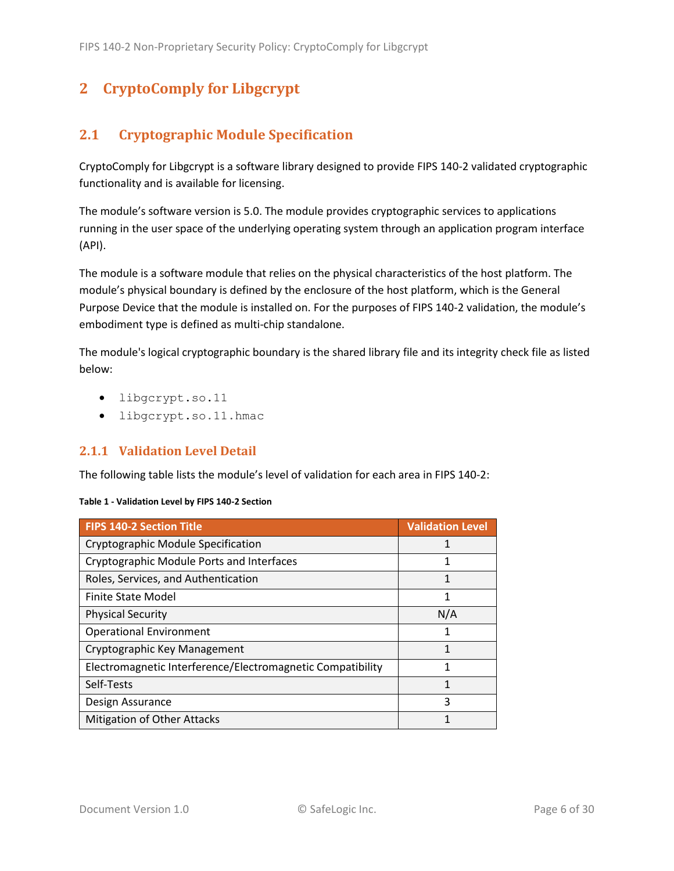# <span id="page-5-0"></span>**2 CryptoComply for Libgcrypt**

# <span id="page-5-1"></span>**2.1 Cryptographic Module Specification**

CryptoComply for Libgcrypt is a software library designed to provide FIPS 140-2 validated cryptographic functionality and is available for licensing.

The module's software version is [5.0.](#page-0-1) The module provides cryptographic services to applications running in the user space of the underlying operating system through an application program interface (API).

The module is a software module that relies on the physical characteristics of the host platform. The module's physical boundary is defined by the enclosure of the host platform, which is the General Purpose Device that the module is installed on. For the purposes of FIPS 140-2 validation, the module's embodiment type is defined as multi-chip standalone.

The module's logical cryptographic boundary is the shared library file and its integrity check file as listed below:

- libgcrypt.so.11
- libgcrypt.so.11.hmac

### <span id="page-5-2"></span>**2.1.1 Validation Level Detail**

The following table lists the module's level of validation for each area in FIPS 140-2:

#### **Table 1 - Validation Level by FIPS 140-2 Section**

| <b>FIPS 140-2 Section Title</b>                            | <b>Validation Level</b> |
|------------------------------------------------------------|-------------------------|
| Cryptographic Module Specification                         |                         |
| Cryptographic Module Ports and Interfaces                  |                         |
| Roles, Services, and Authentication                        | 1                       |
| Finite State Model                                         | 1                       |
| <b>Physical Security</b>                                   | N/A                     |
| <b>Operational Environment</b>                             | 1                       |
| Cryptographic Key Management                               | 1                       |
| Electromagnetic Interference/Electromagnetic Compatibility | 1                       |
| Self-Tests                                                 | 1                       |
| Design Assurance                                           | 3                       |
| <b>Mitigation of Other Attacks</b>                         | 1                       |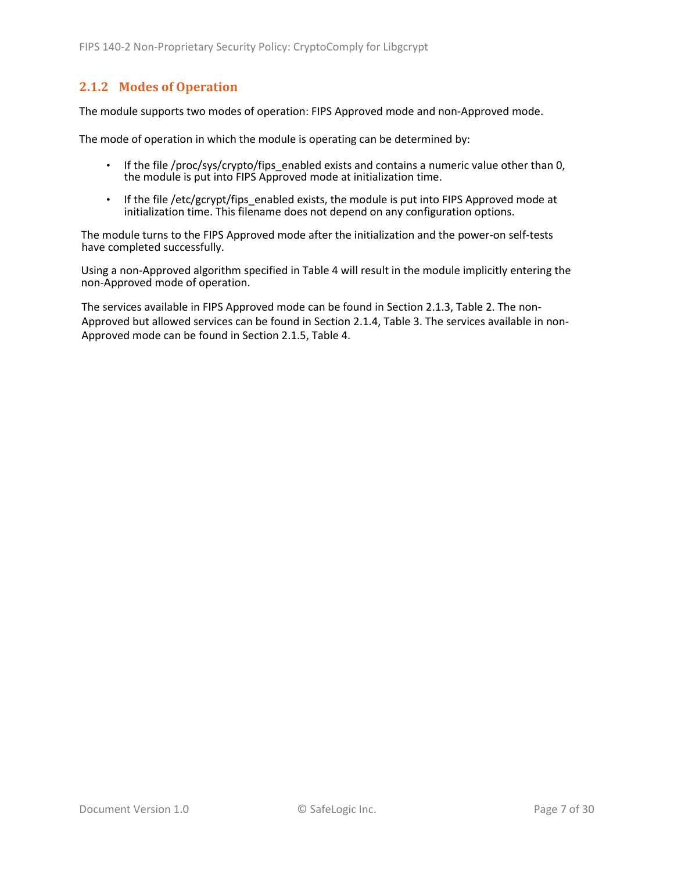### <span id="page-6-0"></span>**2.1.2 Modes of Operation**

The module supports two modes of operation: FIPS Approved mode and non-Approved mode.

The mode of operation in which the module is operating can be determined by:

- If the file /proc/sys/crypto/fips enabled exists and contains a numeric value other than 0, the module is put into FIPS Approved mode at initialization time.
- If the file /etc/gcrypt/fips enabled exists, the module is put into FIPS Approved mode at initialization time. This filename does not depend on any configuration options.

The module turns to the FIPS Approved mode after the initialization and the power-on self-tests have completed successfully.

Using a non-Approved algorithm specified in [Table 4](#page-10-2) will result in the module implicitly entering the non-Approved mode of operation.

The services available in FIPS Approved mode can be found in Section [2.1.3,](#page-7-0) [Table 2.](#page-7-1) The non-Approved but allowed services can be found in Section [2.1.4,](#page-10-0) [Table 3.](#page-10-3) The services available in non-Approved mode can be found in Section [2.1.5,](#page-10-1) [Table 4.](#page-10-2)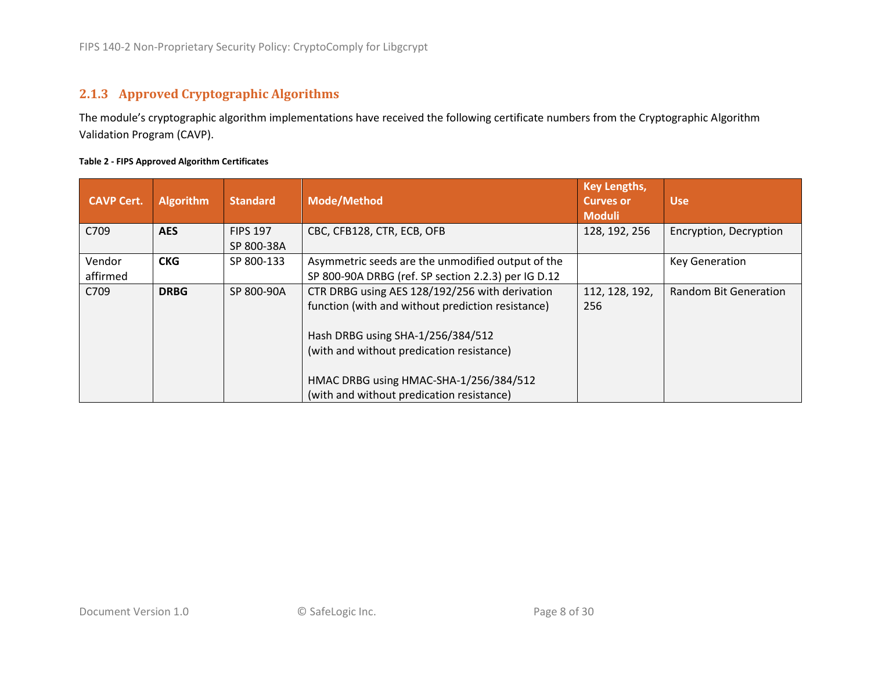## **2.1.3 Approved Cryptographic Algorithms**

The module's cryptographic algorithm implementations have received the following certificate numbers from the Cryptographic Algorithm Validation Program (CAVP).

#### **Table 2 - FIPS Approved Algorithm Certificates**

<span id="page-7-1"></span><span id="page-7-0"></span>

| <b>CAVP Cert.</b> | <b>Algorithm</b> | <b>Standard</b> | <b>Mode/Method</b>                                  | <b>Key Lengths,</b><br><b>Curves or</b><br><b>Moduli</b> | <b>Use</b>                   |
|-------------------|------------------|-----------------|-----------------------------------------------------|----------------------------------------------------------|------------------------------|
| C709              | <b>AES</b>       | <b>FIPS 197</b> | CBC, CFB128, CTR, ECB, OFB                          | 128, 192, 256                                            | Encryption, Decryption       |
|                   |                  | SP 800-38A      |                                                     |                                                          |                              |
| Vendor            | <b>CKG</b>       | SP 800-133      | Asymmetric seeds are the unmodified output of the   |                                                          | <b>Key Generation</b>        |
| affirmed          |                  |                 | SP 800-90A DRBG (ref. SP section 2.2.3) per IG D.12 |                                                          |                              |
| C709              | <b>DRBG</b>      | SP 800-90A      | CTR DRBG using AES 128/192/256 with derivation      | 112, 128, 192,                                           | <b>Random Bit Generation</b> |
|                   |                  |                 | function (with and without prediction resistance)   | 256                                                      |                              |
|                   |                  |                 | Hash DRBG using SHA-1/256/384/512                   |                                                          |                              |
|                   |                  |                 | (with and without predication resistance)           |                                                          |                              |
|                   |                  |                 | HMAC DRBG using HMAC-SHA-1/256/384/512              |                                                          |                              |
|                   |                  |                 | (with and without predication resistance)           |                                                          |                              |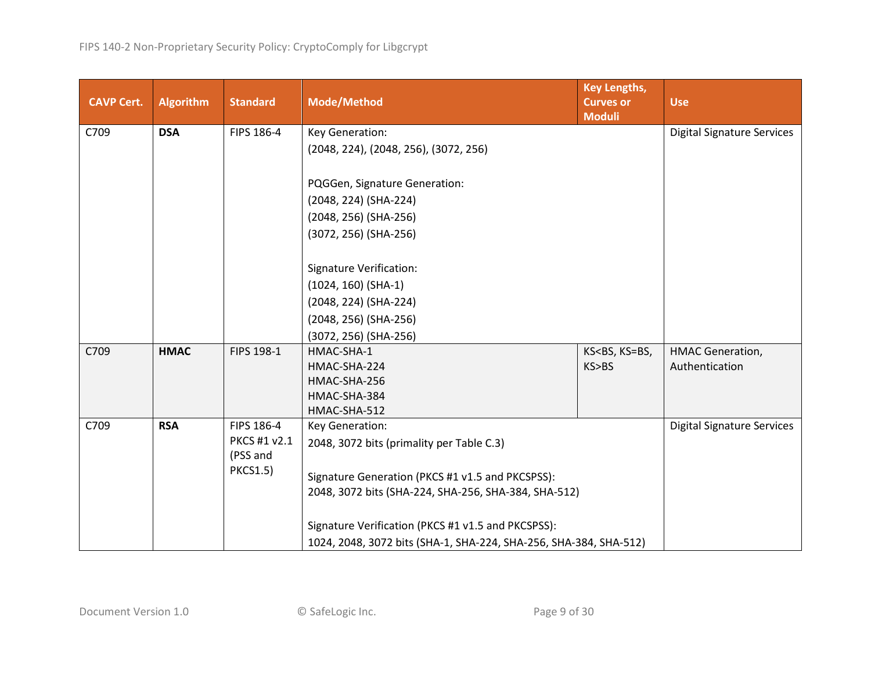| <b>CAVP Cert.</b>                                | <b>Algorithm</b>                                                    | <b>Standard</b> | <b>Key Lengths,</b><br><b>Mode/Method</b><br><b>Curves or</b><br><b>Moduli</b> |                                                                | <b>Use</b>                        |
|--------------------------------------------------|---------------------------------------------------------------------|-----------------|--------------------------------------------------------------------------------|----------------------------------------------------------------|-----------------------------------|
| C709                                             | <b>DSA</b>                                                          | FIPS 186-4      | Key Generation:                                                                |                                                                | <b>Digital Signature Services</b> |
|                                                  |                                                                     |                 | (2048, 224), (2048, 256), (3072, 256)                                          |                                                                |                                   |
|                                                  |                                                                     |                 |                                                                                |                                                                |                                   |
|                                                  |                                                                     |                 | PQGGen, Signature Generation:                                                  |                                                                |                                   |
|                                                  |                                                                     |                 | (2048, 224) (SHA-224)                                                          |                                                                |                                   |
|                                                  |                                                                     |                 | (2048, 256) (SHA-256)                                                          |                                                                |                                   |
|                                                  |                                                                     |                 | (3072, 256) (SHA-256)                                                          |                                                                |                                   |
|                                                  |                                                                     |                 |                                                                                |                                                                |                                   |
|                                                  |                                                                     |                 | <b>Signature Verification:</b>                                                 |                                                                |                                   |
|                                                  |                                                                     |                 | $(1024, 160)$ (SHA-1)                                                          |                                                                |                                   |
|                                                  |                                                                     |                 | (2048, 224) (SHA-224)                                                          |                                                                |                                   |
|                                                  |                                                                     |                 | (2048, 256) (SHA-256)                                                          |                                                                |                                   |
|                                                  |                                                                     |                 | (3072, 256) (SHA-256)                                                          |                                                                |                                   |
| C709                                             | <b>HMAC</b>                                                         | FIPS 198-1      | HMAC-SHA-1                                                                     | KS <bs, ks="BS,&lt;/td"><td><b>HMAC Generation,</b></td></bs,> | <b>HMAC Generation,</b>           |
|                                                  |                                                                     |                 | HMAC-SHA-224                                                                   | KS>BS                                                          | Authentication                    |
|                                                  |                                                                     |                 | HMAC-SHA-256                                                                   |                                                                |                                   |
|                                                  |                                                                     |                 | HMAC-SHA-384                                                                   |                                                                |                                   |
|                                                  |                                                                     |                 | HMAC-SHA-512                                                                   |                                                                |                                   |
|                                                  | FIPS 186-4<br>C709<br><b>RSA</b><br>Key Generation:<br>PKCS #1 v2.1 |                 |                                                                                | <b>Digital Signature Services</b>                              |                                   |
|                                                  |                                                                     | (PSS and        | 2048, 3072 bits (primality per Table C.3)                                      |                                                                |                                   |
|                                                  |                                                                     | <b>PKCS1.5)</b> |                                                                                |                                                                |                                   |
| Signature Generation (PKCS #1 v1.5 and PKCSPSS): |                                                                     |                 |                                                                                |                                                                |                                   |
|                                                  |                                                                     |                 | 2048, 3072 bits (SHA-224, SHA-256, SHA-384, SHA-512)                           |                                                                |                                   |
|                                                  |                                                                     |                 | Signature Verification (PKCS #1 v1.5 and PKCSPSS):                             |                                                                |                                   |
|                                                  |                                                                     |                 | 1024, 2048, 3072 bits (SHA-1, SHA-224, SHA-256, SHA-384, SHA-512)              |                                                                |                                   |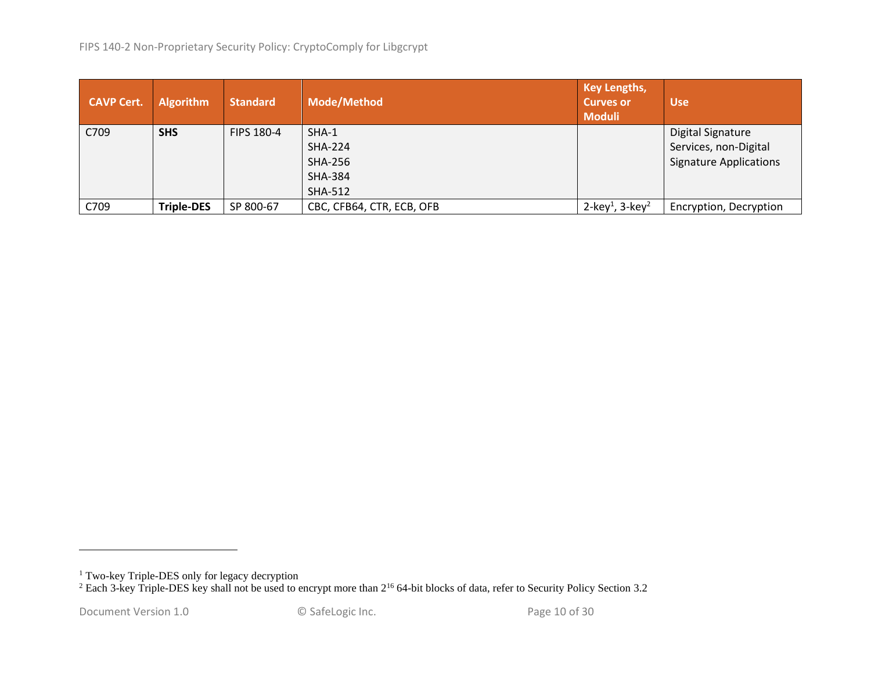| <b>CAVP Cert.</b> | <b>Algorithm</b>  | <b>Standard</b> | <b>Mode/Method</b>        | <b>Key Lengths,</b><br>Curves or<br><b>Moduli</b> | <b>Use</b>                    |
|-------------------|-------------------|-----------------|---------------------------|---------------------------------------------------|-------------------------------|
| C709              | <b>SHS</b>        | FIPS 180-4      | SHA-1                     |                                                   | <b>Digital Signature</b>      |
|                   |                   |                 | <b>SHA-224</b>            |                                                   | Services, non-Digital         |
|                   |                   |                 | <b>SHA-256</b>            |                                                   | <b>Signature Applications</b> |
|                   |                   |                 | <b>SHA-384</b>            |                                                   |                               |
|                   |                   |                 | <b>SHA-512</b>            |                                                   |                               |
| C709              | <b>Triple-DES</b> | SP 800-67       | CBC, CFB64, CTR, ECB, OFB | 2-key <sup>1</sup> , 3-key <sup>2</sup>           | Encryption, Decryption        |

<sup>&</sup>lt;sup>1</sup> Two-key Triple-DES only for legacy decryption

<sup>&</sup>lt;sup>2</sup> Each 3-key Triple-DES key shall not be used to encrypt more than  $2^{16}$  64-bit blocks of data, refer to Security Policy Section [3.2](#page-25-3)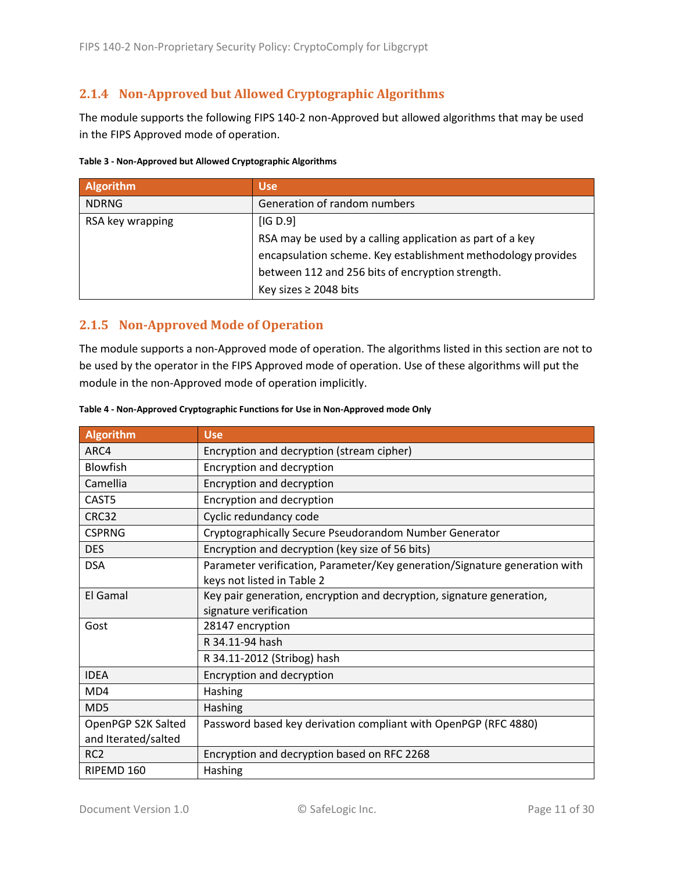### <span id="page-10-0"></span>**2.1.4 Non-Approved but Allowed Cryptographic Algorithms**

The module supports the following FIPS 140-2 non-Approved but allowed algorithms that may be used in the FIPS Approved mode of operation.

<span id="page-10-3"></span>

| Table 3 - Non-Approved but Allowed Cryptographic Algorithms |
|-------------------------------------------------------------|
|-------------------------------------------------------------|

| <b>Algorithm</b> | <b>Use</b>                                                   |
|------------------|--------------------------------------------------------------|
| <b>NDRNG</b>     | Generation of random numbers                                 |
| RSA key wrapping | [IG D.9]                                                     |
|                  | RSA may be used by a calling application as part of a key    |
|                  | encapsulation scheme. Key establishment methodology provides |
|                  | between 112 and 256 bits of encryption strength.             |
|                  | Key sizes $\geq$ 2048 bits                                   |

### <span id="page-10-1"></span>**2.1.5 Non-Approved Mode of Operation**

The module supports a non-Approved mode of operation. The algorithms listed in this section are not to be used by the operator in the FIPS Approved mode of operation. Use of these algorithms will put the module in the non-Approved mode of operation implicitly.

| <b>Algorithm</b>    | <b>Use</b>                                                                 |  |  |  |  |
|---------------------|----------------------------------------------------------------------------|--|--|--|--|
| ARC4                | Encryption and decryption (stream cipher)                                  |  |  |  |  |
| Blowfish            | Encryption and decryption                                                  |  |  |  |  |
| Camellia            | Encryption and decryption                                                  |  |  |  |  |
| CAST5               | Encryption and decryption                                                  |  |  |  |  |
| CRC32               | Cyclic redundancy code                                                     |  |  |  |  |
| <b>CSPRNG</b>       | Cryptographically Secure Pseudorandom Number Generator                     |  |  |  |  |
| <b>DES</b>          | Encryption and decryption (key size of 56 bits)                            |  |  |  |  |
| <b>DSA</b>          | Parameter verification, Parameter/Key generation/Signature generation with |  |  |  |  |
|                     | keys not listed in Table 2                                                 |  |  |  |  |
| El Gamal            | Key pair generation, encryption and decryption, signature generation,      |  |  |  |  |
|                     | signature verification                                                     |  |  |  |  |
| Gost                | 28147 encryption                                                           |  |  |  |  |
|                     | R 34.11-94 hash                                                            |  |  |  |  |
|                     | R 34.11-2012 (Stribog) hash                                                |  |  |  |  |
| <b>IDEA</b>         | Encryption and decryption                                                  |  |  |  |  |
| MD4                 | Hashing                                                                    |  |  |  |  |
| MD5                 | Hashing                                                                    |  |  |  |  |
| OpenPGP S2K Salted  | Password based key derivation compliant with OpenPGP (RFC 4880)            |  |  |  |  |
| and Iterated/salted |                                                                            |  |  |  |  |
| RC <sub>2</sub>     | Encryption and decryption based on RFC 2268                                |  |  |  |  |
| RIPEMD 160          | Hashing                                                                    |  |  |  |  |

#### <span id="page-10-2"></span>**Table 4 - Non-Approved Cryptographic Functions for Use in Non-Approved mode Only**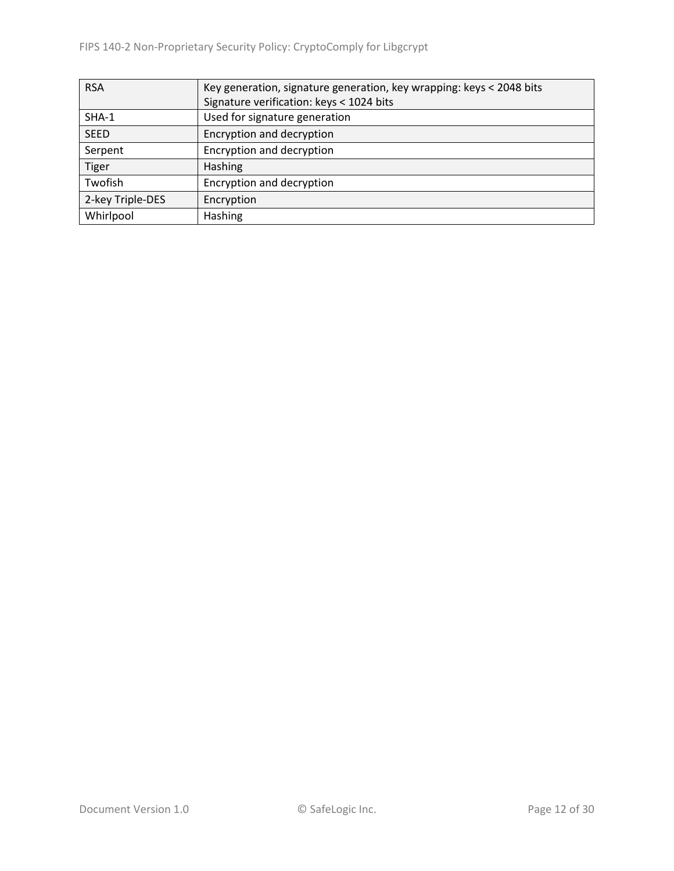| <b>RSA</b>       | Key generation, signature generation, key wrapping: keys < 2048 bits |  |  |  |  |
|------------------|----------------------------------------------------------------------|--|--|--|--|
|                  | Signature verification: keys < 1024 bits                             |  |  |  |  |
| $SHA-1$          | Used for signature generation                                        |  |  |  |  |
| <b>SEED</b>      | Encryption and decryption                                            |  |  |  |  |
| Serpent          | Encryption and decryption                                            |  |  |  |  |
| <b>Tiger</b>     | Hashing                                                              |  |  |  |  |
| Twofish          | Encryption and decryption                                            |  |  |  |  |
| 2-key Triple-DES | Encryption                                                           |  |  |  |  |
| Whirlpool        | <b>Hashing</b>                                                       |  |  |  |  |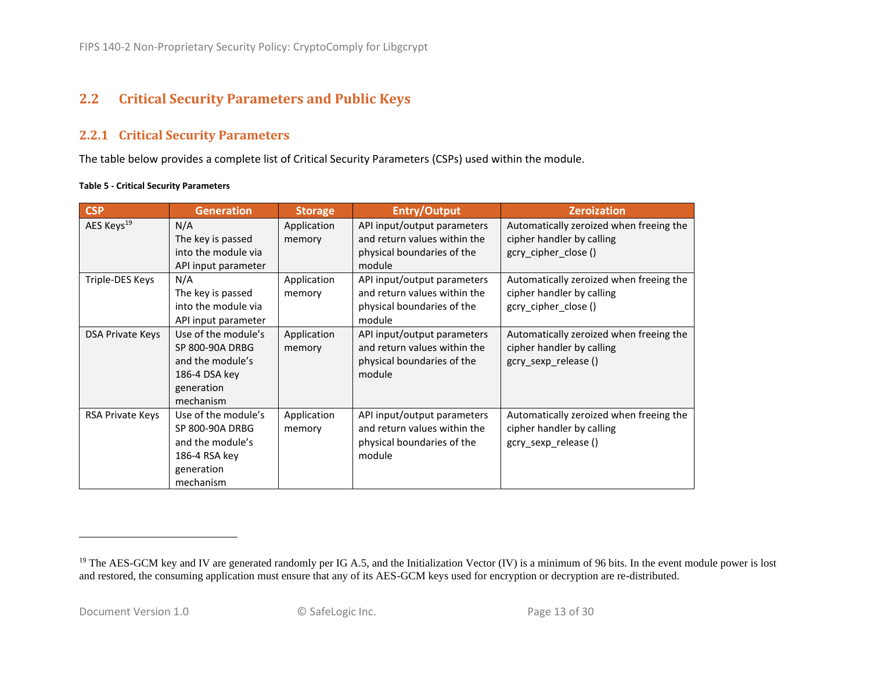# **2.2 Critical Security Parameters and Public Keys**

#### **2.2.1 Critical Security Parameters**

The table below provides a complete list of Critical Security Parameters (CSPs) used within the module.

#### **Table 5 - Critical Security Parameters**

<span id="page-12-1"></span><span id="page-12-0"></span>

| <b>CSP</b>             | <b>Generation</b>                                                                                      | <b>Storage</b>        | <b>Entry/Output</b>                                                                                 | <b>Zeroization</b>                                                                           |
|------------------------|--------------------------------------------------------------------------------------------------------|-----------------------|-----------------------------------------------------------------------------------------------------|----------------------------------------------------------------------------------------------|
| AES Keys <sup>19</sup> | N/A<br>The key is passed<br>into the module via<br>API input parameter                                 | Application<br>memory | API input/output parameters<br>and return values within the<br>physical boundaries of the<br>module | Automatically zeroized when freeing the<br>cipher handler by calling<br>gcry_cipher_close()  |
| Triple-DES Keys        | N/A<br>The key is passed<br>into the module via<br>API input parameter                                 | Application<br>memory | API input/output parameters<br>and return values within the<br>physical boundaries of the<br>module | Automatically zeroized when freeing the<br>cipher handler by calling<br>gcry_cipher_close()  |
| DSA Private Keys       | Use of the module's<br>SP 800-90A DRBG<br>and the module's<br>186-4 DSA key<br>generation<br>mechanism | Application<br>memory | API input/output parameters<br>and return values within the<br>physical boundaries of the<br>module | Automatically zeroized when freeing the<br>cipher handler by calling<br>gcry sexp release () |
| RSA Private Keys       | Use of the module's<br>SP 800-90A DRBG<br>and the module's<br>186-4 RSA key<br>generation<br>mechanism | Application<br>memory | API input/output parameters<br>and return values within the<br>physical boundaries of the<br>module | Automatically zeroized when freeing the<br>cipher handler by calling<br>gcry_sexp_release()  |

<sup>&</sup>lt;sup>19</sup> The AES-GCM key and IV are generated randomly per IG A.5, and the Initialization Vector (IV) is a minimum of 96 bits. In the event module power is lost and restored, the consuming application must ensure that any of its AES-GCM keys used for encryption or decryption are re-distributed.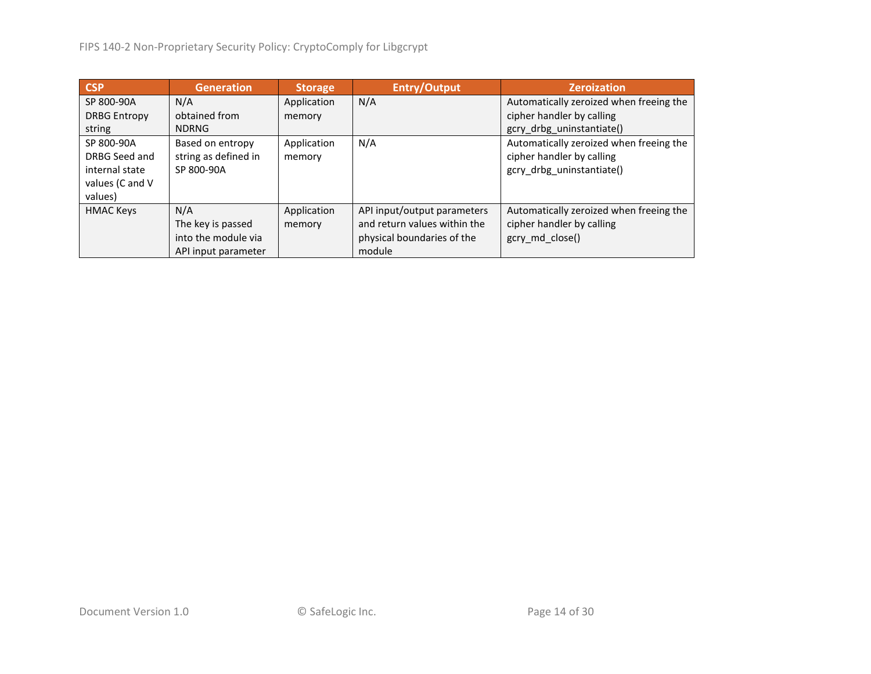| <b>CSP</b>          | <b>Generation</b>    | <b>Storage</b> | <b>Entry/Output</b>          | <b>Zeroization</b>                      |
|---------------------|----------------------|----------------|------------------------------|-----------------------------------------|
| SP 800-90A          | N/A                  | Application    | N/A                          | Automatically zeroized when freeing the |
| <b>DRBG Entropy</b> | obtained from        | memory         |                              | cipher handler by calling               |
| string              | <b>NDRNG</b>         |                |                              | gcry drbg uninstantiate()               |
| SP 800-90A          | Based on entropy     | Application    | N/A                          | Automatically zeroized when freeing the |
| DRBG Seed and       | string as defined in | memory         |                              | cipher handler by calling               |
| internal state      | SP 800-90A           |                |                              | gcry_drbg_uninstantiate()               |
| values (C and V     |                      |                |                              |                                         |
| values)             |                      |                |                              |                                         |
| <b>HMAC Keys</b>    | N/A                  | Application    | API input/output parameters  | Automatically zeroized when freeing the |
|                     | The key is passed    | memory         | and return values within the | cipher handler by calling               |
|                     | into the module via  |                | physical boundaries of the   | gcry md close()                         |
|                     | API input parameter  |                | module                       |                                         |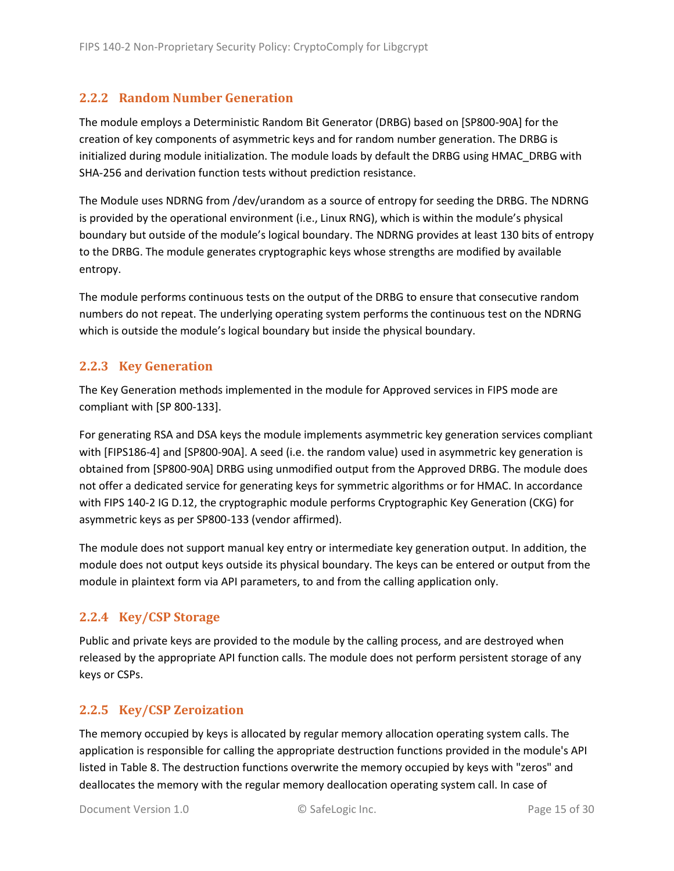#### <span id="page-14-0"></span>**2.2.2 Random Number Generation**

<span id="page-14-4"></span>The module employs a Deterministic Random Bit Generator (DRBG) based on [SP800-90A] for the creation of key components of asymmetric keys and for random number generation. The DRBG is initialized during module initialization. The module loads by default the DRBG using HMAC\_DRBG with SHA-256 and derivation function tests without prediction resistance.

The Module uses NDRNG from /dev/urandom as a source of entropy for seeding the DRBG. The NDRNG is provided by the operational environment (i.e., Linux RNG), which is within the module's physical boundary but outside of the module's logical boundary. The NDRNG provides at least 130 bits of entropy to the DRBG. The module generates cryptographic keys whose strengths are modified by available entropy.

The module performs continuous tests on the output of the DRBG to ensure that consecutive random numbers do not repeat. The underlying operating system performs the continuous test on the NDRNG which is outside the module's logical boundary but inside the physical boundary.

#### <span id="page-14-1"></span>**2.2.3 Key Generation**

The Key Generation methods implemented in the module for Approved services in FIPS mode are compliant with [SP 800-133].

For generating RSA and DSA keys the module implements asymmetric key generation services compliant with [FIPS186-4] and [SP800-90A]. A seed (i.e. the random value) used in asymmetric key generation is obtained from [SP800-90A] DRBG using unmodified output from the Approved DRBG. The module does not offer a dedicated service for generating keys for symmetric algorithms or for HMAC. In accordance with FIPS 140-2 IG D.12, the cryptographic module performs Cryptographic Key Generation (CKG) for asymmetric keys as per SP800-133 (vendor affirmed).

The module does not support manual key entry or intermediate key generation output. In addition, the module does not output keys outside its physical boundary. The keys can be entered or output from the module in plaintext form via API parameters, to and from the calling application only.

### <span id="page-14-2"></span>**2.2.4 Key/CSP Storage**

Public and private keys are provided to the module by the calling process, and are destroyed when released by the appropriate API function calls. The module does not perform persistent storage of any keys or CSPs.

#### <span id="page-14-3"></span>**2.2.5 Key/CSP Zeroization**

The memory occupied by keys is allocated by regular memory allocation operating system calls. The application is responsible for calling the appropriate destruction functions provided in the module's API listed i[n Table 8.](#page-18-3) The destruction functions overwrite the memory occupied by keys with "zeros" and deallocates the memory with the regular memory deallocation operating system call. In case of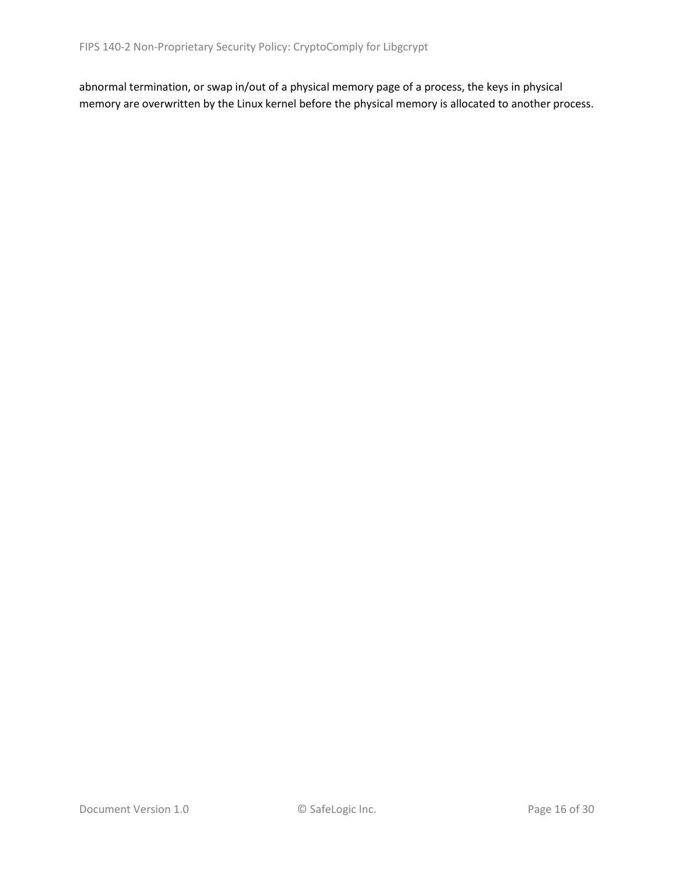abnormal termination, or swap in/out of a physical memory page of a process, the keys in physical memory are overwritten by the Linux kernel before the physical memory is allocated to another process.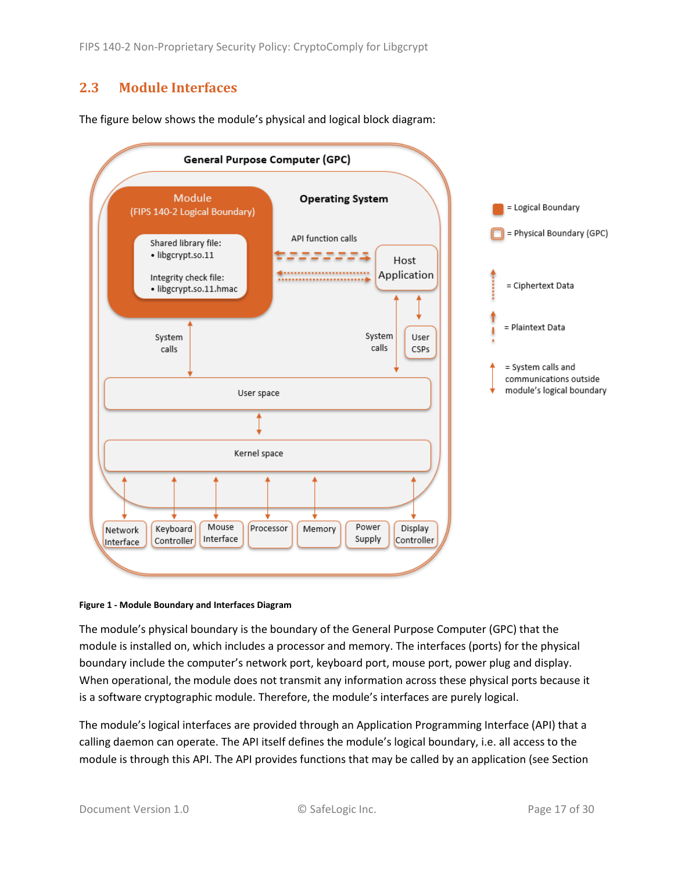# <span id="page-16-0"></span>**2.3 Module Interfaces**

<span id="page-16-1"></span>The figure below shows the module's physical and logical block diagram:



#### **Figure 1 - Module Boundary and Interfaces Diagram**

The module's physical boundary is the boundary of the General Purpose Computer (GPC) that the module is installed on, which includes a processor and memory. The interfaces (ports) for the physical boundary include the computer's network port, keyboard port, mouse port, power plug and display. When operational, the module does not transmit any information across these physical ports because it is a software cryptographic module. Therefore, the module's interfaces are purely logical.

The module's logical interfaces are provided through an Application Programming Interface (API) that a calling daemon can operate. The API itself defines the module's logical boundary, i.e. all access to the module is through this API. The API provides functions that may be called by an application (see Section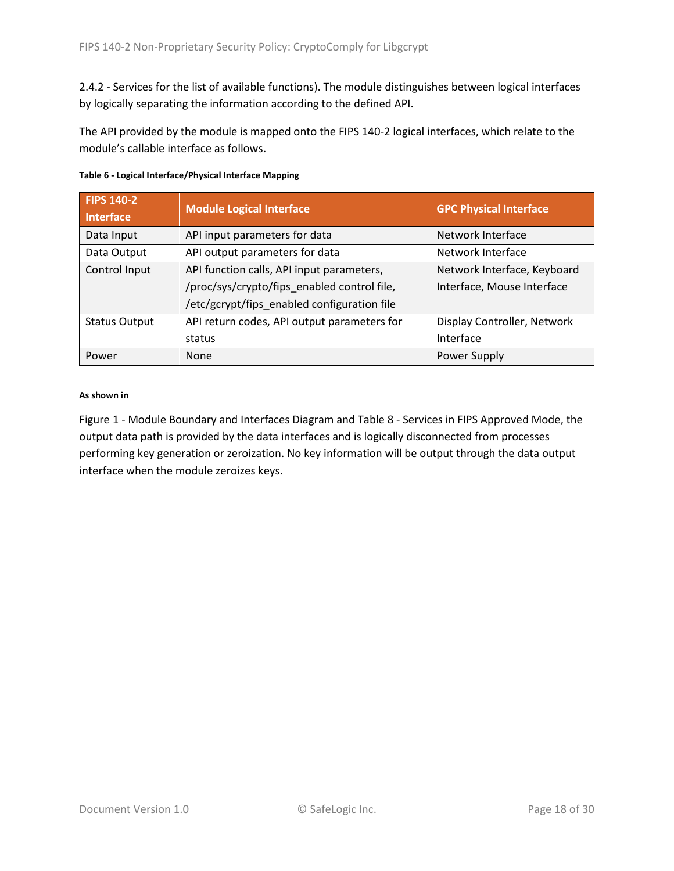[2.4.2](#page-18-2) - [Services](#page-18-2) for the list of available functions). The module distinguishes between logical interfaces by logically separating the information according to the defined API.

The API provided by the module is mapped onto the FIPS 140-2 logical interfaces, which relate to the module's callable interface as follows.

| <b>FIPS 140-2</b><br><b>Interface</b> | <b>Module Logical Interface</b>             | <b>GPC Physical Interface</b> |
|---------------------------------------|---------------------------------------------|-------------------------------|
| Data Input                            | API input parameters for data               | Network Interface             |
| Data Output                           | API output parameters for data              | Network Interface             |
| Control Input                         | API function calls, API input parameters,   | Network Interface, Keyboard   |
|                                       | /proc/sys/crypto/fips_enabled control file, | Interface, Mouse Interface    |
|                                       | /etc/gcrypt/fips_enabled configuration file |                               |
| <b>Status Output</b>                  | API return codes, API output parameters for | Display Controller, Network   |
|                                       | status                                      | Interface                     |
| Power                                 | None                                        | Power Supply                  |

| Table 6 - Logical Interface/Physical Interface Mapping |  |  |
|--------------------------------------------------------|--|--|
|--------------------------------------------------------|--|--|

#### **As shown in**

Figure 1 - [Module Boundary and Interfaces Diagram](#page-16-1) and Table 8 - Services [in FIPS Approved Mode,](#page-18-3) the output data path is provided by the data interfaces and is logically disconnected from processes performing key generation or zeroization. No key information will be output through the data output interface when the module zeroizes keys.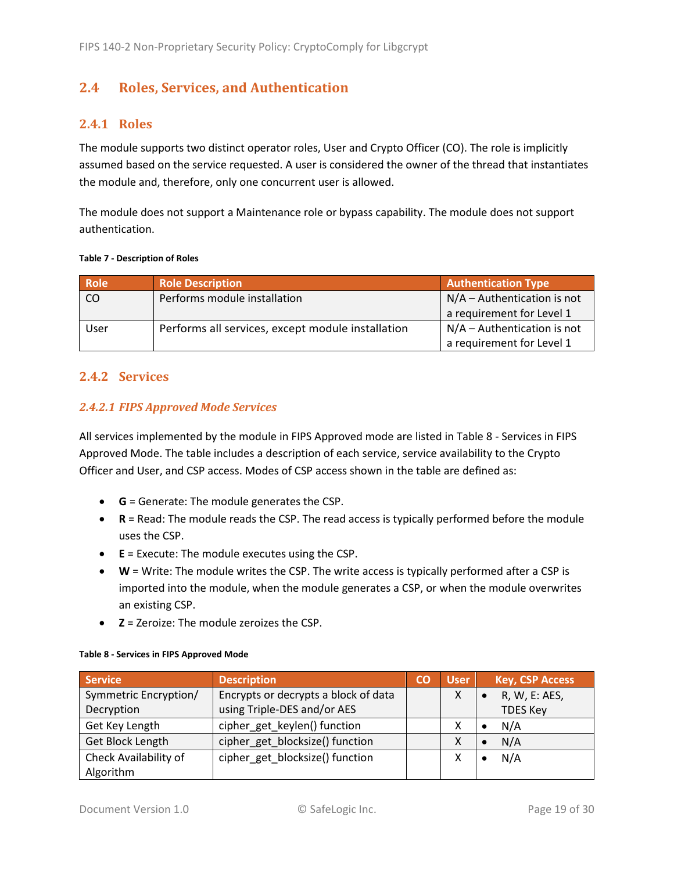# <span id="page-18-0"></span>**2.4 Roles, Services, and Authentication**

#### <span id="page-18-1"></span>**2.4.1 Roles**

The module supports two distinct operator roles, User and Crypto Officer (CO). The role is implicitly assumed based on the service requested. A user is considered the owner of the thread that instantiates the module and, therefore, only one concurrent user is allowed.

The module does not support a Maintenance role or bypass capability. The module does not support authentication.

#### **Table 7 - Description of Roles**

| <b>Role</b>   | <b>Role Description</b>                           | <b>Authentication Type</b>    |
|---------------|---------------------------------------------------|-------------------------------|
| <sub>CO</sub> | Performs module installation                      | $N/A -$ Authentication is not |
|               |                                                   | a requirement for Level 1     |
| User          | Performs all services, except module installation | $N/A -$ Authentication is not |
|               |                                                   | a requirement for Level 1     |

#### <span id="page-18-2"></span>**2.4.2 Services**

#### *2.4.2.1 FIPS Approved Mode Services*

All services implemented by the module in FIPS Approved mode are listed in Table 8 - [Services](#page-18-3) in FIPS [Approved Mode.](#page-18-3) The table includes a description of each service, service availability to the Crypto Officer and User, and CSP access. Modes of CSP access shown in the table are defined as:

- **G** = Generate: The module generates the CSP.
- **R** = Read: The module reads the CSP. The read access is typically performed before the module uses the CSP.
- **E** = Execute: The module executes using the CSP.
- **W** = Write: The module writes the CSP. The write access is typically performed after a CSP is imported into the module, when the module generates a CSP, or when the module overwrites an existing CSP.
- **Z** = Zeroize: The module zeroizes the CSP.

| <b>Service</b>        | <b>Description</b>                   | CO | <b>User</b> | <b>Key, CSP Access</b>     |
|-----------------------|--------------------------------------|----|-------------|----------------------------|
| Symmetric Encryption/ | Encrypts or decrypts a block of data |    |             | R, W, E: AES,<br>$\bullet$ |
| Decryption            | using Triple-DES and/or AES          |    |             | <b>TDES Key</b>            |
| Get Key Length        | cipher_get_keylen() function         |    |             | N/A<br>$\bullet$           |
| Get Block Length      | cipher get blocksize() function      |    |             | N/A<br>$\bullet$           |
| Check Availability of | cipher get blocksize() function      |    |             | N/A                        |
| Algorithm             |                                      |    |             |                            |

#### <span id="page-18-3"></span>**Table 8 - Services in FIPS Approved Mode**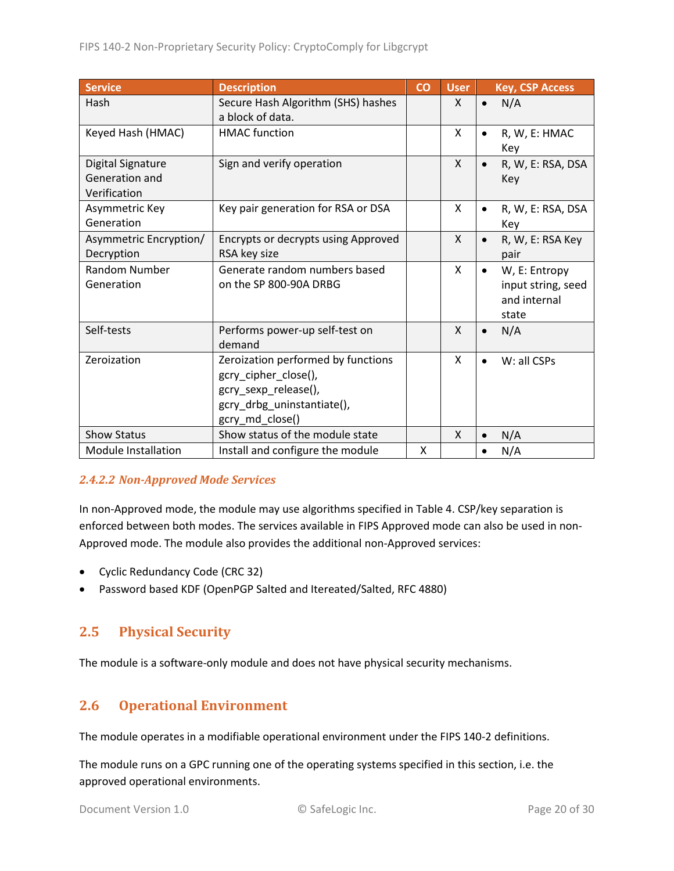| <b>Service</b>                                             | <b>Description</b>                                                                                                                  | CO | <b>User</b>  | <b>Key, CSP Access</b>                                                    |
|------------------------------------------------------------|-------------------------------------------------------------------------------------------------------------------------------------|----|--------------|---------------------------------------------------------------------------|
| Hash                                                       | Secure Hash Algorithm (SHS) hashes<br>a block of data.                                                                              |    | X            | N/A<br>$\bullet$                                                          |
| Keyed Hash (HMAC)                                          | <b>HMAC</b> function                                                                                                                |    | X            | R, W, E: HMAC<br>$\bullet$<br>Key                                         |
| <b>Digital Signature</b><br>Generation and<br>Verification | Sign and verify operation                                                                                                           |    | $\mathsf{X}$ | R, W, E: RSA, DSA<br>$\bullet$<br>Key                                     |
| Asymmetric Key<br>Generation                               | Key pair generation for RSA or DSA                                                                                                  |    | X            | R, W, E: RSA, DSA<br>$\bullet$<br>Key                                     |
| Asymmetric Encryption/<br>Decryption                       | Encrypts or decrypts using Approved<br>RSA key size                                                                                 |    | X            | R, W, E: RSA Key<br>$\bullet$<br>pair                                     |
| Random Number<br>Generation                                | Generate random numbers based<br>on the SP 800-90A DRBG                                                                             |    | X            | W, E: Entropy<br>$\bullet$<br>input string, seed<br>and internal<br>state |
| Self-tests                                                 | Performs power-up self-test on<br>demand                                                                                            |    | X            | N/A<br>$\bullet$                                                          |
| Zeroization                                                | Zeroization performed by functions<br>gcry_cipher_close(),<br>gcry_sexp_release(),<br>gcry_drbg_uninstantiate(),<br>gcry_md_close() |    | X            | W: all CSPs<br>$\bullet$                                                  |
| <b>Show Status</b>                                         | Show status of the module state                                                                                                     |    | $\mathsf{X}$ | N/A                                                                       |
| Module Installation                                        | Install and configure the module                                                                                                    | X  |              | N/A                                                                       |

#### *2.4.2.2 Non-Approved Mode Services*

In non-Approved mode, the module may use algorithms specified in [Table 4.](#page-10-2) CSP/key separation is enforced between both modes. The services available in FIPS Approved mode can also be used in non-Approved mode. The module also provides the additional non-Approved services:

- Cyclic Redundancy Code (CRC 32)
- Password based KDF (OpenPGP Salted and Itereated/Salted, RFC 4880)

### <span id="page-19-0"></span>**2.5 Physical Security**

The module is a software-only module and does not have physical security mechanisms.

## <span id="page-19-1"></span>**2.6 Operational Environment**

The module operates in a modifiable operational environment under the FIPS 140-2 definitions.

The module runs on a GPC running one of the operating systems specified in this section, i.e. the approved operational environments.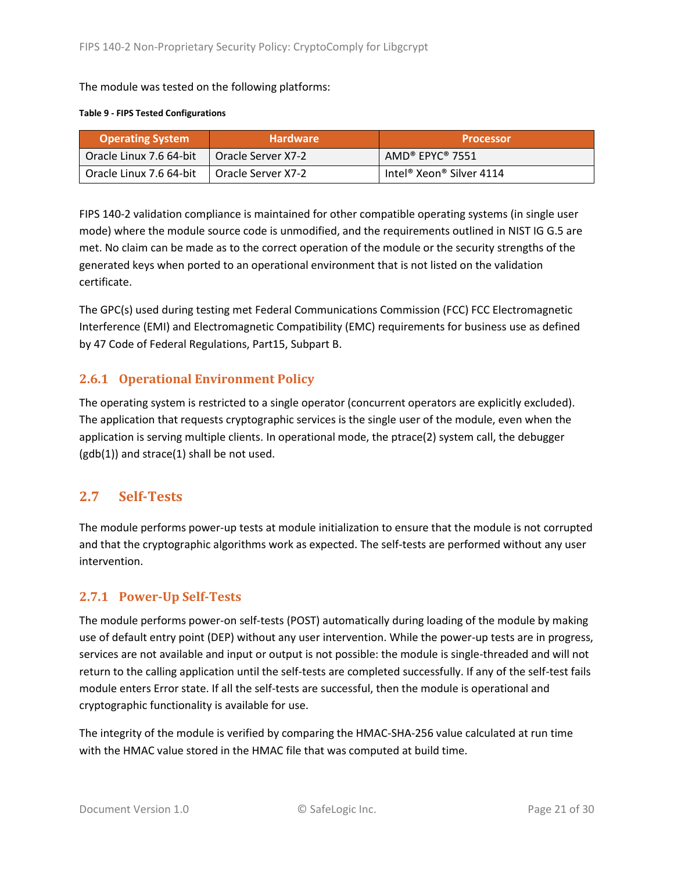The module was tested on the following platforms:

#### **Table 9 - FIPS Tested Configurations**

| <b>Operating System</b> | <b>Hardware</b>      | <b>Processor</b>                                              |
|-------------------------|----------------------|---------------------------------------------------------------|
| Oracle Linux 7.6 64-bit | 1 Oracle Server X7-2 | $\mathsf{AMD}^{\mathsf{\circ}}$ EPYC $^{\mathsf{\circ}}$ 7551 |
| Oracle Linux 7.6 64-bit | 1 Oracle Server X7-2 | Intel <sup>®</sup> Xeon <sup>®</sup> Silver 4114              |

FIPS 140-2 validation compliance is maintained for other compatible operating systems (in single user mode) where the module source code is unmodified, and the requirements outlined in NIST IG G.5 are met. No claim can be made as to the correct operation of the module or the security strengths of the generated keys when ported to an operational environment that is not listed on the validation certificate.

The GPC(s) used during testing met Federal Communications Commission (FCC) FCC Electromagnetic Interference (EMI) and Electromagnetic Compatibility (EMC) requirements for business use as defined by 47 Code of Federal Regulations, Part15, Subpart B.

### <span id="page-20-0"></span>**2.6.1 Operational Environment Policy**

The operating system is restricted to a single operator (concurrent operators are explicitly excluded). The application that requests cryptographic services is the single user of the module, even when the application is serving multiple clients. In operational mode, the ptrace(2) system call, the debugger  $(gdb(1))$  and strace $(1)$  shall be not used.

## <span id="page-20-1"></span>**2.7 Self-Tests**

The module performs power-up tests at module initialization to ensure that the module is not corrupted and that the cryptographic algorithms work as expected. The self-tests are performed without any user intervention.

### <span id="page-20-2"></span>**2.7.1 Power-Up Self-Tests**

The module performs power-on self-tests (POST) automatically during loading of the module by making use of default entry point (DEP) without any user intervention. While the power-up tests are in progress, services are not available and input or output is not possible: the module is single-threaded and will not return to the calling application until the self-tests are completed successfully. If any of the self-test fails module enters Error state. If all the self-tests are successful, then the module is operational and cryptographic functionality is available for use.

The integrity of the module is verified by comparing the HMAC-SHA-256 value calculated at run time with the HMAC value stored in the HMAC file that was computed at build time.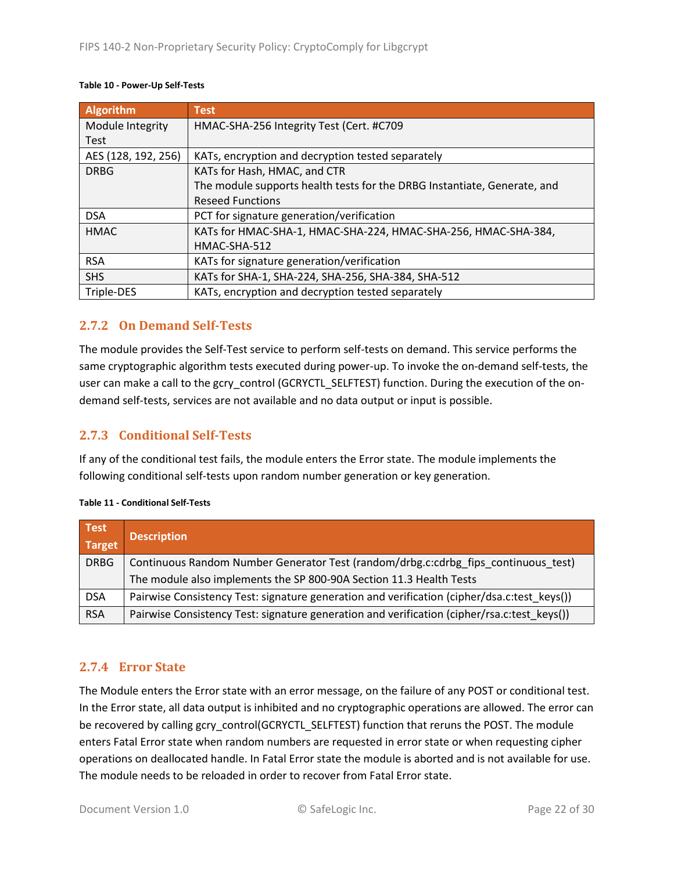| <b>Algorithm</b>    | <b>Test</b>                                                              |
|---------------------|--------------------------------------------------------------------------|
| Module Integrity    | HMAC-SHA-256 Integrity Test (Cert. #C709                                 |
| <b>Test</b>         |                                                                          |
| AES (128, 192, 256) | KATs, encryption and decryption tested separately                        |
| <b>DRBG</b>         | KATs for Hash, HMAC, and CTR                                             |
|                     | The module supports health tests for the DRBG Instantiate, Generate, and |
|                     | <b>Reseed Functions</b>                                                  |
| <b>DSA</b>          | PCT for signature generation/verification                                |
| <b>HMAC</b>         | KATs for HMAC-SHA-1, HMAC-SHA-224, HMAC-SHA-256, HMAC-SHA-384,           |
|                     | HMAC-SHA-512                                                             |
| <b>RSA</b>          | KATs for signature generation/verification                               |
| <b>SHS</b>          | KATs for SHA-1, SHA-224, SHA-256, SHA-384, SHA-512                       |
| Triple-DES          | KATs, encryption and decryption tested separately                        |

#### <span id="page-21-0"></span>**2.7.2 On Demand Self-Tests**

The module provides the Self-Test service to perform self-tests on demand. This service performs the same cryptographic algorithm tests executed during power-up. To invoke the on-demand self-tests, the user can make a call to the gcry\_control (GCRYCTL\_SELFTEST) function. During the execution of the ondemand self-tests, services are not available and no data output or input is possible.

### <span id="page-21-1"></span>**2.7.3 Conditional Self-Tests**

If any of the conditional test fails, the module enters the Error state. The module implements the following conditional self-tests upon random number generation or key generation.

| Test<br>Target | <b>Description</b>                                                                          |
|----------------|---------------------------------------------------------------------------------------------|
| <b>DRBG</b>    | Continuous Random Number Generator Test (random/drbg.c:cdrbg fips continuous test)          |
|                | The module also implements the SP 800-90A Section 11.3 Health Tests                         |
| <b>DSA</b>     | Pairwise Consistency Test: signature generation and verification (cipher/dsa.c:test keys()) |
| <b>RSA</b>     | Pairwise Consistency Test: signature generation and verification (cipher/rsa.c:test keys()) |

#### <span id="page-21-2"></span>**2.7.4 Error State**

The Module enters the Error state with an error message, on the failure of any POST or conditional test. In the Error state, all data output is inhibited and no cryptographic operations are allowed. The error can be recovered by calling gcry\_control(GCRYCTL\_SELFTEST) function that reruns the POST. The module enters Fatal Error state when random numbers are requested in error state or when requesting cipher operations on deallocated handle. In Fatal Error state the module is aborted and is not available for use. The module needs to be reloaded in order to recover from Fatal Error state.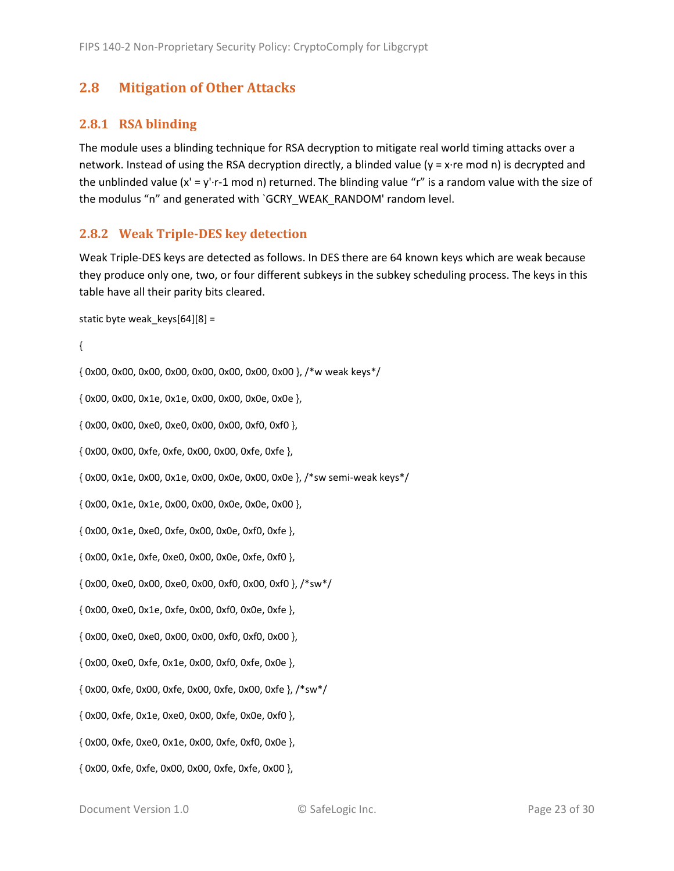## <span id="page-22-0"></span>**2.8 Mitigation of Other Attacks**

#### <span id="page-22-1"></span>**2.8.1 RSA blinding**

The module uses a blinding technique for RSA decryption to mitigate real world timing attacks over a network. Instead of using the RSA decryption directly, a blinded value (y = x·re mod n) is decrypted and the unblinded value  $(x' = y' \cdot r - 1 \mod n)$  returned. The blinding value "r" is a random value with the size of the modulus "n" and generated with `GCRY\_WEAK\_RANDOM' random level.

#### <span id="page-22-2"></span>**2.8.2 Weak Triple-DES key detection**

Weak Triple-DES keys are detected as follows. In DES there are 64 known keys which are weak because they produce only one, two, or four different subkeys in the subkey scheduling process. The keys in this table have all their parity bits cleared.

```
static byte weak keys[64][8] =
```
{

```
{ 0x00, 0x00, 0x00, 0x00, 0x00, 0x00, 0x00, 0x00 }, /*w weak keys*/
{ 0x00, 0x00, 0x1e, 0x1e, 0x00, 0x00, 0x0e, 0x0e },
{ 0x00, 0x00, 0xe0, 0xe0, 0x00, 0x00, 0xf0, 0xf0 },
{ 0x00, 0x00, 0xfe, 0xfe, 0x00, 0x00, 0xfe, 0xfe },
{ 0x00, 0x1e, 0x00, 0x1e, 0x00, 0x0e, 0x00, 0x0e }, /*sw semi-weak keys*/
{ 0x00, 0x1e, 0x1e, 0x00, 0x00, 0x0e, 0x0e, 0x00 },
{ 0x00, 0x1e, 0xe0, 0xfe, 0x00, 0x0e, 0xf0, 0xfe },
{ 0x00, 0x1e, 0xfe, 0xe0, 0x00, 0x0e, 0xfe, 0xf0 },
{ 0x00, 0xe0, 0x00, 0xe0, 0x00, 0xf0, 0x00, 0xf0 }, /*sw*/
{ 0x00, 0xe0, 0x1e, 0xfe, 0x00, 0xf0, 0x0e, 0xfe },
{ 0x00, 0xe0, 0xe0, 0x00, 0x00, 0xf0, 0xf0, 0x00 },
{ 0x00, 0xe0, 0xfe, 0x1e, 0x00, 0xf0, 0xfe, 0x0e },
{ 0x00, 0xfe, 0x00, 0xfe, 0x00, 0xfe, 0x00, 0xfe }, /*sw*/
{ 0x00, 0xfe, 0x1e, 0xe0, 0x00, 0xfe, 0x0e, 0xf0 },
```
{ 0x00, 0xfe, 0xe0, 0x1e, 0x00, 0xfe, 0xf0, 0x0e },

{ 0x00, 0xfe, 0xfe, 0x00, 0x00, 0xfe, 0xfe, 0x00 },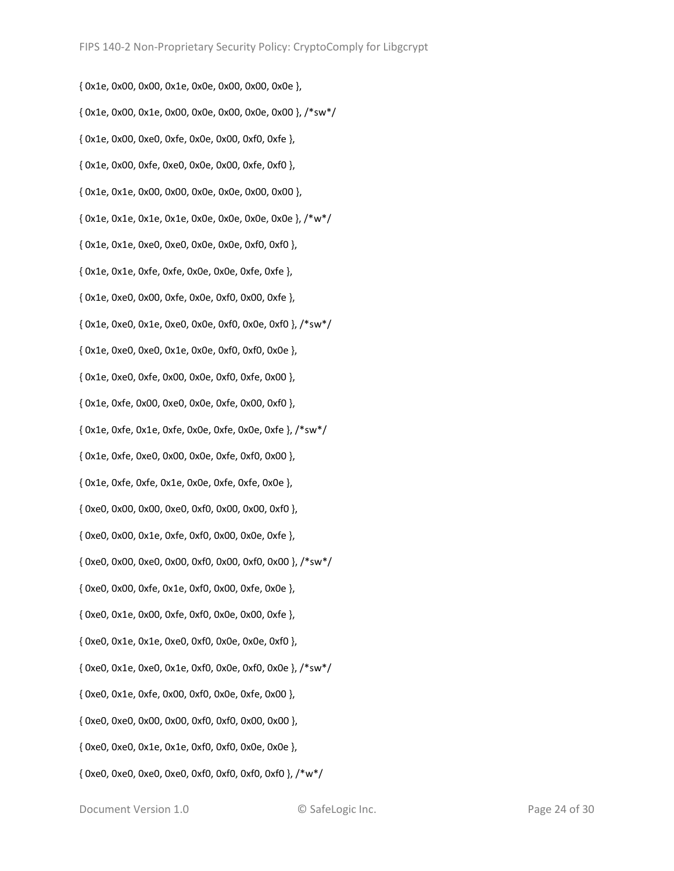{ 0x1e, 0x00, 0x00, 0x1e, 0x0e, 0x00, 0x00, 0x0e }, { 0x1e, 0x00, 0x1e, 0x00, 0x0e, 0x00, 0x0e, 0x00 }, /\*sw\*/ { 0x1e, 0x00, 0xe0, 0xfe, 0x0e, 0x00, 0xf0, 0xfe }, { 0x1e, 0x00, 0xfe, 0xe0, 0x0e, 0x00, 0xfe, 0xf0 }, { 0x1e, 0x1e, 0x00, 0x00, 0x0e, 0x0e, 0x00, 0x00 }, { 0x1e, 0x1e, 0x1e, 0x1e, 0x0e, 0x0e, 0x0e, 0x0e }, /\*w\*/ { 0x1e, 0x1e, 0xe0, 0xe0, 0x0e, 0x0e, 0xf0, 0xf0 }, { 0x1e, 0x1e, 0xfe, 0xfe, 0x0e, 0x0e, 0xfe, 0xfe }, { 0x1e, 0xe0, 0x00, 0xfe, 0x0e, 0xf0, 0x00, 0xfe }, { 0x1e, 0xe0, 0x1e, 0xe0, 0x0e, 0xf0, 0x0e, 0xf0 }, /\*sw\*/ { 0x1e, 0xe0, 0xe0, 0x1e, 0x0e, 0xf0, 0xf0, 0x0e }, { 0x1e, 0xe0, 0xfe, 0x00, 0x0e, 0xf0, 0xfe, 0x00 }, { 0x1e, 0xfe, 0x00, 0xe0, 0x0e, 0xfe, 0x00, 0xf0 }, { 0x1e, 0xfe, 0x1e, 0xfe, 0x0e, 0xfe, 0x0e, 0xfe }, /\*sw\*/ { 0x1e, 0xfe, 0xe0, 0x00, 0x0e, 0xfe, 0xf0, 0x00 }, { 0x1e, 0xfe, 0xfe, 0x1e, 0x0e, 0xfe, 0xfe, 0x0e }, { 0xe0, 0x00, 0x00, 0xe0, 0xf0, 0x00, 0x00, 0xf0 }, { 0xe0, 0x00, 0x1e, 0xfe, 0xf0, 0x00, 0x0e, 0xfe }, { 0xe0, 0x00, 0xe0, 0x00, 0xf0, 0x00, 0xf0, 0x00 }, /\*sw\*/ { 0xe0, 0x00, 0xfe, 0x1e, 0xf0, 0x00, 0xfe, 0x0e }, { 0xe0, 0x1e, 0x00, 0xfe, 0xf0, 0x0e, 0x00, 0xfe }, { 0xe0, 0x1e, 0x1e, 0xe0, 0xf0, 0x0e, 0x0e, 0xf0 }, { 0xe0, 0x1e, 0xe0, 0x1e, 0xf0, 0x0e, 0xf0, 0x0e }, /\*sw\*/ { 0xe0, 0x1e, 0xfe, 0x00, 0xf0, 0x0e, 0xfe, 0x00 }, { 0xe0, 0xe0, 0x00, 0x00, 0xf0, 0xf0, 0x00, 0x00 }, { 0xe0, 0xe0, 0x1e, 0x1e, 0xf0, 0xf0, 0x0e, 0x0e }, { 0xe0, 0xe0, 0xe0, 0xe0, 0xf0, 0xf0, 0xf0, 0xf0 }, /\*w\*/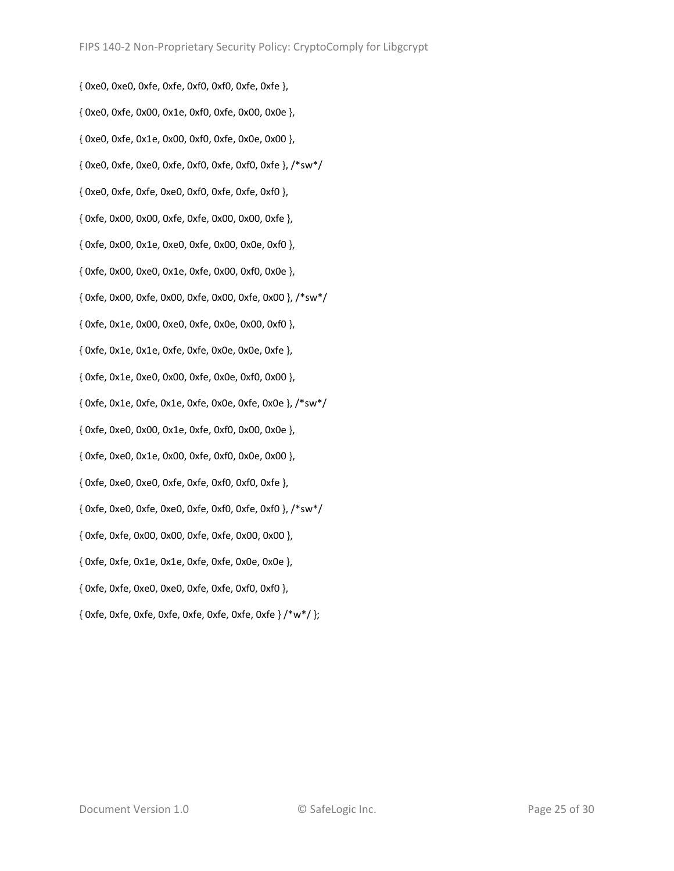{ 0xe0, 0xe0, 0xfe, 0xfe, 0xf0, 0xf0, 0xfe, 0xfe }, { 0xe0, 0xfe, 0x00, 0x1e, 0xf0, 0xfe, 0x00, 0x0e }, { 0xe0, 0xfe, 0x1e, 0x00, 0xf0, 0xfe, 0x0e, 0x00 }, { 0xe0, 0xfe, 0xe0, 0xfe, 0xf0, 0xfe, 0xf0, 0xfe }, /\*sw\*/ { 0xe0, 0xfe, 0xfe, 0xe0, 0xf0, 0xfe, 0xfe, 0xf0 }, { 0xfe, 0x00, 0x00, 0xfe, 0xfe, 0x00, 0x00, 0xfe }, { 0xfe, 0x00, 0x1e, 0xe0, 0xfe, 0x00, 0x0e, 0xf0 }, { 0xfe, 0x00, 0xe0, 0x1e, 0xfe, 0x00, 0xf0, 0x0e }, { 0xfe, 0x00, 0xfe, 0x00, 0xfe, 0x00, 0xfe, 0x00 }, /\*sw\*/ { 0xfe, 0x1e, 0x00, 0xe0, 0xfe, 0x0e, 0x00, 0xf0 }, { 0xfe, 0x1e, 0x1e, 0xfe, 0xfe, 0x0e, 0x0e, 0xfe }, { 0xfe, 0x1e, 0xe0, 0x00, 0xfe, 0x0e, 0xf0, 0x00 }, { 0xfe, 0x1e, 0xfe, 0x1e, 0xfe, 0x0e, 0xfe, 0x0e }, /\*sw\*/ { 0xfe, 0xe0, 0x00, 0x1e, 0xfe, 0xf0, 0x00, 0x0e }, { 0xfe, 0xe0, 0x1e, 0x00, 0xfe, 0xf0, 0x0e, 0x00 }, { 0xfe, 0xe0, 0xe0, 0xfe, 0xfe, 0xf0, 0xf0, 0xfe }, { 0xfe, 0xe0, 0xfe, 0xe0, 0xfe, 0xf0, 0xfe, 0xf0 }, /\*sw\*/ { 0xfe, 0xfe, 0x00, 0x00, 0xfe, 0xfe, 0x00, 0x00 }, { 0xfe, 0xfe, 0x1e, 0x1e, 0xfe, 0xfe, 0x0e, 0x0e }, { 0xfe, 0xfe, 0xe0, 0xe0, 0xfe, 0xfe, 0xf0, 0xf0 }, { 0xfe, 0xfe, 0xfe, 0xfe, 0xfe, 0xfe, 0xfe, 0xfe } /\*w\*/ };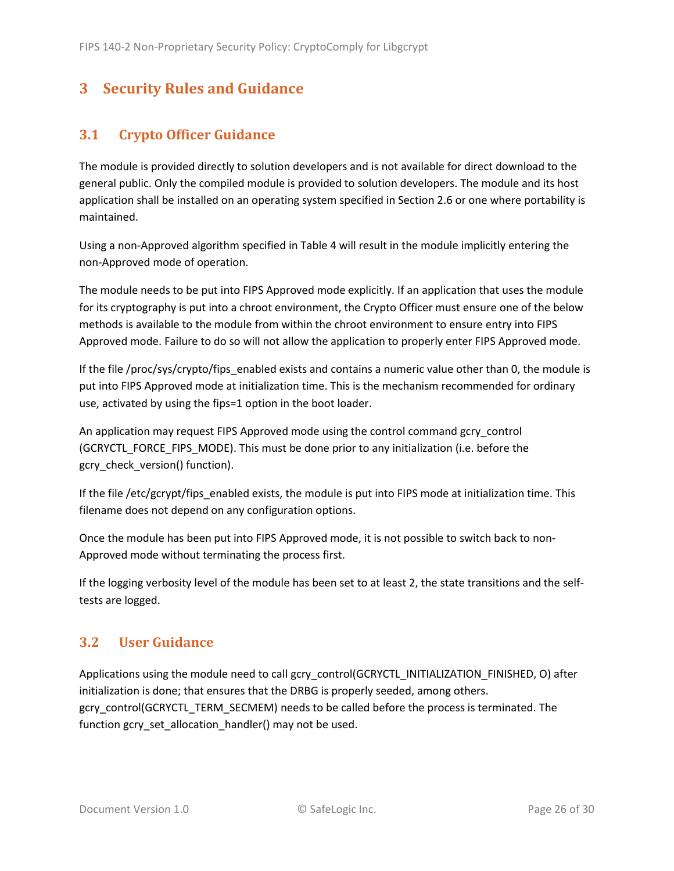# <span id="page-25-0"></span>**3 Security Rules and Guidance**

# <span id="page-25-1"></span>**3.1 Crypto Officer Guidance**

The module is provided directly to solution developers and is not available for direct download to the general public. Only the compiled module is provided to solution developers. The module and its host application shall be installed on an operating system specified in Section [2.6](#page-19-1) or one where portability is maintained.

Using a non-Approved algorithm specified in [Table 4](#page-10-2) will result in the module implicitly entering the non-Approved mode of operation.

The module needs to be put into FIPS Approved mode explicitly. If an application that uses the module for its cryptography is put into a chroot environment, the Crypto Officer must ensure one of the below methods is available to the module from within the chroot environment to ensure entry into FIPS Approved mode. Failure to do so will not allow the application to properly enter FIPS Approved mode.

If the file /proc/sys/crypto/fips\_enabled exists and contains a numeric value other than 0, the module is put into FIPS Approved mode at initialization time. This is the mechanism recommended for ordinary use, activated by using the fips=1 option in the boot loader.

<span id="page-25-3"></span>An application may request FIPS Approved mode using the control command gcry\_control (GCRYCTL\_FORCE\_FIPS\_MODE). This must be done prior to any initialization (i.e. before the gcry\_check\_version() function).

If the file /etc/gcrypt/fips\_enabled exists, the module is put into FIPS mode at initialization time. This filename does not depend on any configuration options.

Once the module has been put into FIPS Approved mode, it is not possible to switch back to non-Approved mode without terminating the process first.

If the logging verbosity level of the module has been set to at least 2, the state transitions and the selftests are logged.

# <span id="page-25-2"></span>**3.2 User Guidance**

Applications using the module need to call gcry\_control(GCRYCTL\_INITIALIZATION\_FINISHED, O) after initialization is done; that ensures that the DRBG is properly seeded, among others. gcry\_control(GCRYCTL\_TERM\_SECMEM) needs to be called before the process is terminated. The function gcry\_set\_allocation\_handler() may not be used.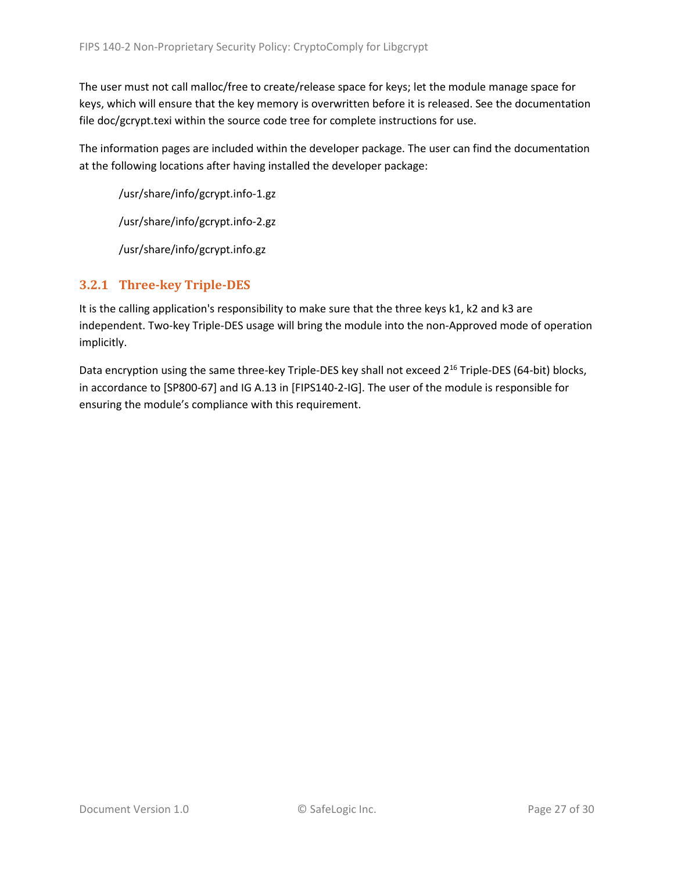The user must not call malloc/free to create/release space for keys; let the module manage space for keys, which will ensure that the key memory is overwritten before it is released. See the documentation file doc/gcrypt.texi within the source code tree for complete instructions for use.

The information pages are included within the developer package. The user can find the documentation at the following locations after having installed the developer package:

/usr/share/info/gcrypt.info-1.gz

/usr/share/info/gcrypt.info-2.gz

/usr/share/info/gcrypt.info.gz

## <span id="page-26-0"></span>**3.2.1 Three-key Triple-DES**

It is the calling application's responsibility to make sure that the three keys k1, k2 and k3 are independent. Two-key Triple-DES usage will bring the module into the non-Approved mode of operation implicitly.

Data encryption using the same three-key Triple-DES key shall not exceed 2<sup>16</sup> Triple-DES (64-bit) blocks, in accordance to [SP800-67] and IG A.13 in [FIPS140-2-IG]. The user of the module is responsible for ensuring the module's compliance with this requirement.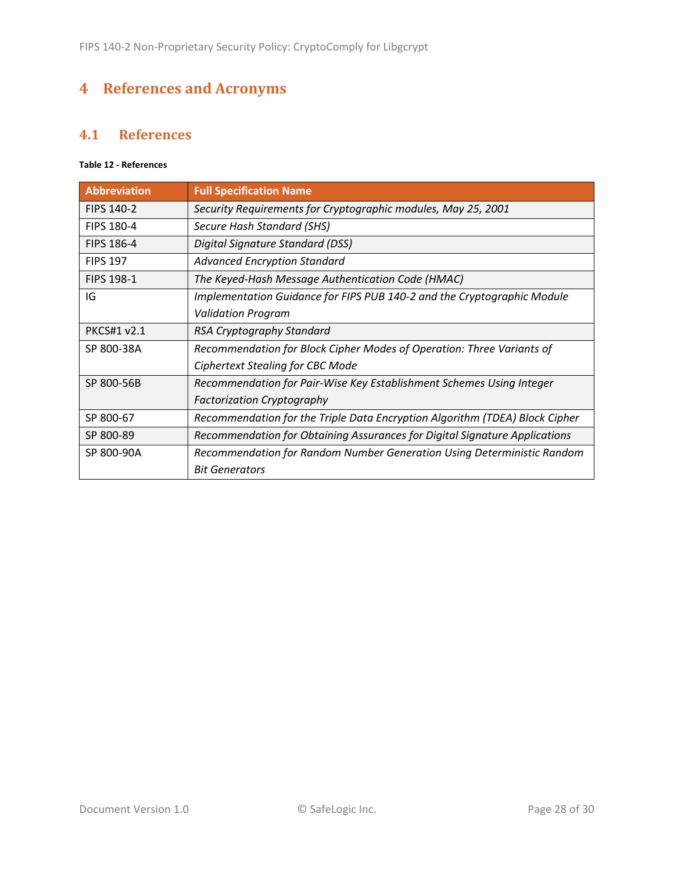# <span id="page-27-0"></span>**4 References and Acronyms**

## <span id="page-27-1"></span>**4.1 References**

### **Table 12 - References**

| <b>Abbreviation</b> | <b>Full Specification Name</b>                                              |
|---------------------|-----------------------------------------------------------------------------|
| <b>FIPS 140-2</b>   | Security Requirements for Cryptographic modules, May 25, 2001               |
| <b>FIPS 180-4</b>   | Secure Hash Standard (SHS)                                                  |
| <b>FIPS 186-4</b>   | Digital Signature Standard (DSS)                                            |
| <b>FIPS 197</b>     | <b>Advanced Encryption Standard</b>                                         |
| <b>FIPS 198-1</b>   | The Keyed-Hash Message Authentication Code (HMAC)                           |
| IG                  | Implementation Guidance for FIPS PUB 140-2 and the Cryptographic Module     |
|                     | <b>Validation Program</b>                                                   |
| <b>PKCS#1 v2.1</b>  | RSA Cryptography Standard                                                   |
| SP 800-38A          | Recommendation for Block Cipher Modes of Operation: Three Variants of       |
|                     | Ciphertext Stealing for CBC Mode                                            |
| SP 800-56B          | Recommendation for Pair-Wise Key Establishment Schemes Using Integer        |
|                     | <b>Factorization Cryptography</b>                                           |
| SP 800-67           | Recommendation for the Triple Data Encryption Algorithm (TDEA) Block Cipher |
| SP 800-89           | Recommendation for Obtaining Assurances for Digital Signature Applications  |
| SP 800-90A          | Recommendation for Random Number Generation Using Deterministic Random      |
|                     | <b>Bit Generators</b>                                                       |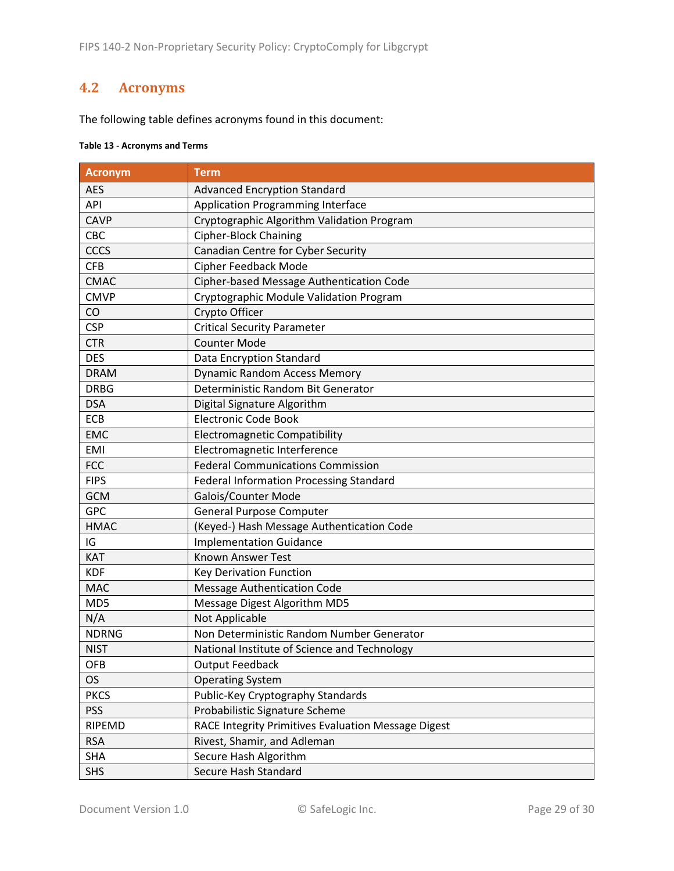## <span id="page-28-0"></span>**4.2 Acronyms**

The following table defines acronyms found in this document:

#### **Table 13 - Acronyms and Terms**

| <b>Acronym</b> | <b>Term</b>                                         |
|----------------|-----------------------------------------------------|
| <b>AES</b>     | <b>Advanced Encryption Standard</b>                 |
| API            | <b>Application Programming Interface</b>            |
| <b>CAVP</b>    | Cryptographic Algorithm Validation Program          |
| CBC            | <b>Cipher-Block Chaining</b>                        |
| <b>CCCS</b>    | Canadian Centre for Cyber Security                  |
| <b>CFB</b>     | <b>Cipher Feedback Mode</b>                         |
| <b>CMAC</b>    | Cipher-based Message Authentication Code            |
| <b>CMVP</b>    | Cryptographic Module Validation Program             |
| CO             | Crypto Officer                                      |
| <b>CSP</b>     | <b>Critical Security Parameter</b>                  |
| <b>CTR</b>     | <b>Counter Mode</b>                                 |
| <b>DES</b>     | Data Encryption Standard                            |
| <b>DRAM</b>    | <b>Dynamic Random Access Memory</b>                 |
| <b>DRBG</b>    | Deterministic Random Bit Generator                  |
| <b>DSA</b>     | Digital Signature Algorithm                         |
| ECB            | <b>Electronic Code Book</b>                         |
| <b>EMC</b>     | <b>Electromagnetic Compatibility</b>                |
| <b>EMI</b>     | Electromagnetic Interference                        |
| <b>FCC</b>     | <b>Federal Communications Commission</b>            |
| <b>FIPS</b>    | <b>Federal Information Processing Standard</b>      |
| <b>GCM</b>     | Galois/Counter Mode                                 |
| <b>GPC</b>     | <b>General Purpose Computer</b>                     |
| <b>HMAC</b>    | (Keyed-) Hash Message Authentication Code           |
| IG             | <b>Implementation Guidance</b>                      |
| <b>KAT</b>     | <b>Known Answer Test</b>                            |
| <b>KDF</b>     | <b>Key Derivation Function</b>                      |
| <b>MAC</b>     | <b>Message Authentication Code</b>                  |
| MD5            | Message Digest Algorithm MD5                        |
| N/A            | Not Applicable                                      |
| <b>NDRNG</b>   | Non Deterministic Random Number Generator           |
| <b>NIST</b>    | National Institute of Science and Technology        |
| <b>OFB</b>     | <b>Output Feedback</b>                              |
| <b>OS</b>      | <b>Operating System</b>                             |
| <b>PKCS</b>    | Public-Key Cryptography Standards                   |
| <b>PSS</b>     | Probabilistic Signature Scheme                      |
| RIPEMD         | RACE Integrity Primitives Evaluation Message Digest |
| <b>RSA</b>     | Rivest, Shamir, and Adleman                         |
| <b>SHA</b>     | Secure Hash Algorithm                               |
| <b>SHS</b>     | Secure Hash Standard                                |